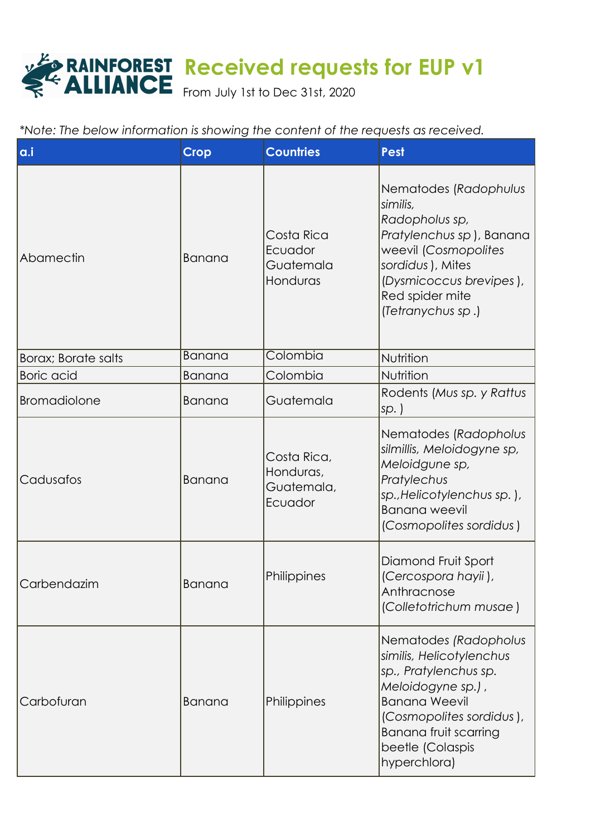## **Received requests for EUP v1**

From July 1st to Dec 31st, 2020

|  |  |  | *Note: The below information is showing the content of the requests as received. |  |
|--|--|--|----------------------------------------------------------------------------------|--|

| a.i                         | <b>Crop</b>   | <b>Countries</b>                                  | <b>Pest</b>                                                                                                                                                                                                             |
|-----------------------------|---------------|---------------------------------------------------|-------------------------------------------------------------------------------------------------------------------------------------------------------------------------------------------------------------------------|
| Abamectin                   | Banana        | Costa Rica<br>Ecuador<br>Guatemala<br>Honduras    | Nematodes (Radophulus<br>similis,<br>Radopholus sp,<br>Pratylenchus sp), Banana<br>weevil (Cosmopolites<br>sordidus), Mites<br>(Dysmicoccus brevipes),<br>Red spider mite<br>(Tetranychus sp.)                          |
| <b>Borax</b> ; Borate salts | Banana        | Colombia                                          | Nutrition                                                                                                                                                                                                               |
| <b>Boric</b> acid           | Banana        | Colombia                                          | Nutrition                                                                                                                                                                                                               |
| <b>Bromadiolone</b>         | Banana        | Guatemala                                         | Rodents (Mus sp. y Rattus<br>$ sp.$ )                                                                                                                                                                                   |
| Cadusafos                   | Banana        | Costa Rica,<br>Honduras,<br>Guatemala,<br>Ecuador | Nematodes (Radopholus<br>silmillis, Meloidogyne sp,<br>Meloidgune sp,<br>Pratylechus<br>sp., Helicotylenchus sp.),<br><b>Banana</b> weevil<br>(Cosmopolites sordidus)                                                   |
| Carbendazim                 | <b>Banana</b> | Philippines                                       | Diamond Fruit Sport<br>(Cercospora hayii),<br>Anthracnose<br>(Colletotrichum musae)                                                                                                                                     |
| Carbofuran                  | Banana        | Philippines                                       | Nematodes (Radopholus<br>similis, Helicotylenchus<br>sp., Pratylenchus sp.<br>Meloidogyne sp.),<br><b>Banana Weevil</b><br>(Cosmopolites sordidus),<br><b>Banana fruit scarring</b><br>beetle (Colaspis<br>hyperchlora) |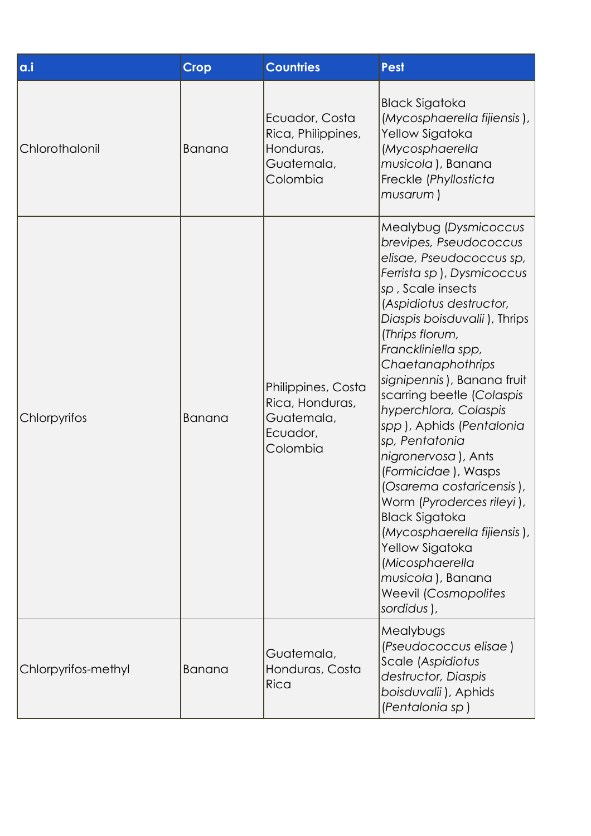| a.i                 | <b>Crop</b> | <b>Countries</b>                                                            | <b>Pest</b>                                                                                                                                                                                                                                                                                                                                                                                                                                                                                                                                                                                                                                                      |  |
|---------------------|-------------|-----------------------------------------------------------------------------|------------------------------------------------------------------------------------------------------------------------------------------------------------------------------------------------------------------------------------------------------------------------------------------------------------------------------------------------------------------------------------------------------------------------------------------------------------------------------------------------------------------------------------------------------------------------------------------------------------------------------------------------------------------|--|
| Chlorothalonil      | Banana      | Ecuador, Costa<br>Rica, Philippines,<br>Honduras,<br>Guatemala,<br>Colombia | <b>Black Sigatoka</b><br>(Mycosphaerella fijiensis),<br>Yellow Sigatoka<br>(Mycosphaerella<br>musicola), Banana<br>Freckle (Phyllosticta<br>musarum)                                                                                                                                                                                                                                                                                                                                                                                                                                                                                                             |  |
| Chlorpyrifos        | Banana      | Philippines, Costa<br>Rica, Honduras,<br>Guatemala,<br>Ecuador,<br>Colombia | Mealybug (Dysmicoccus<br>brevipes, Pseudococcus<br>elisae, Pseudococcus sp,<br>Ferrista sp), Dysmicoccus<br>sp, Scale insects<br>(Aspidiotus destructor,<br>Diaspis boisduvalii), Thrips<br>(Thrips florum,<br>Franckliniella spp,<br>Chaetanaphothrips<br>signipennis), Banana fruit<br>scarring beetle (Colaspis<br>hyperchlora, Colaspis<br>spp), Aphids (Pentalonia<br>sp, Pentatonia<br>nigronervosa), Ants<br>(Formicidae), Wasps<br>(Osarema costaricensis),<br>Worm (Pyroderces rileyi),<br><b>Black Sigatoka</b><br>(Mycosphaerella fijiensis),<br>Yellow Sigatoka<br>(Micosphaerella<br>musicola), Banana<br><b>Weevil (Cosmopolites</b><br>sordidus), |  |
| Chlorpyrifos-methyl | Banana      | Guatemala,<br>Honduras, Costa<br>Rica                                       | Mealybugs<br>(Pseudococcus elisae)<br>Scale (Aspidiotus<br>destructor, Diaspis<br>boisduvalii), Aphids<br>(Pentalonia sp)                                                                                                                                                                                                                                                                                                                                                                                                                                                                                                                                        |  |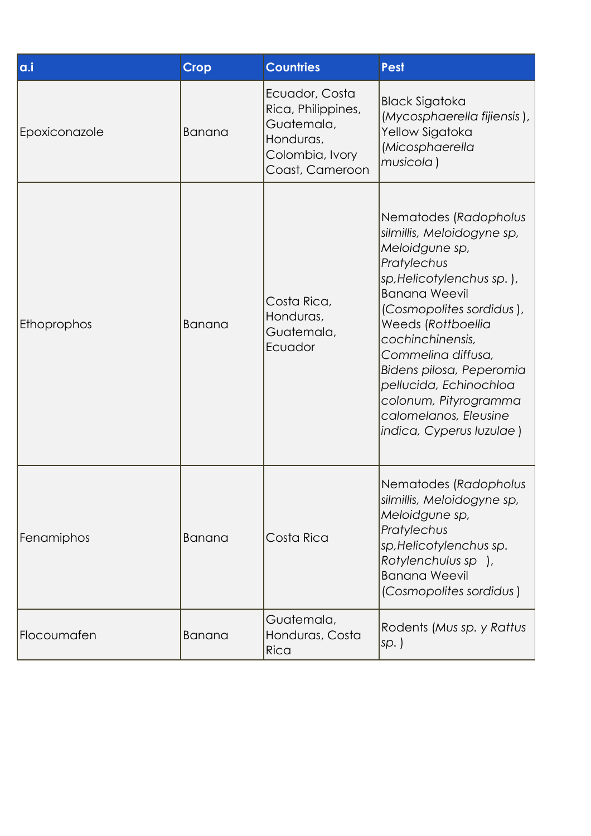| a.i           | <b>Crop</b> | <b>Countries</b>                                                                                      | <b>Pest</b>                                                                                                                                                                                                                                                                                                                                                               |
|---------------|-------------|-------------------------------------------------------------------------------------------------------|---------------------------------------------------------------------------------------------------------------------------------------------------------------------------------------------------------------------------------------------------------------------------------------------------------------------------------------------------------------------------|
| Epoxiconazole | Banana      | Ecuador, Costa<br>Rica, Philippines,<br>Guatemala,<br>Honduras,<br>Colombia, Ivory<br>Coast, Cameroon | <b>Black Sigatoka</b><br>(Mycosphaerella fijiensis),<br>Yellow Sigatoka<br>(Micosphaerella<br>musicola)                                                                                                                                                                                                                                                                   |
| Ethoprophos   | Banana      | Costa Rica,<br>Honduras,<br>Guatemala,<br>Ecuador                                                     | Nematodes (Radopholus<br>silmillis, Meloidogyne sp,<br>Meloidgune sp,<br>Pratylechus<br>sp, Helicotylenchus sp.),<br><b>Banana Weevil</b><br>(Cosmopolites sordidus),<br>Weeds (Rottboellia<br>cochinchinensis,<br>Commelina diffusa,<br>Bidens pilosa, Peperomia<br>pellucida, Echinochloa<br>colonum, Pityrogramma<br>calomelanos, Eleusine<br>indica, Cyperus Iuzulae) |
| Fenamiphos    | Banana      | Costa Rica                                                                                            | Nematodes (Radopholus<br>silmillis, Meloidogyne sp,<br>Meloidgune sp,<br>Pratylechus<br>sp, Helicotylenchus sp.<br>Rotylenchulus sp ),<br><b>Banana Weevil</b><br>(Cosmopolites sordidus)                                                                                                                                                                                 |
| Flocoumafen   | Banana      | Guatemala,<br>Honduras, Costa<br>Rica                                                                 | Rodents (Mus sp. y Rattus<br>sp.)                                                                                                                                                                                                                                                                                                                                         |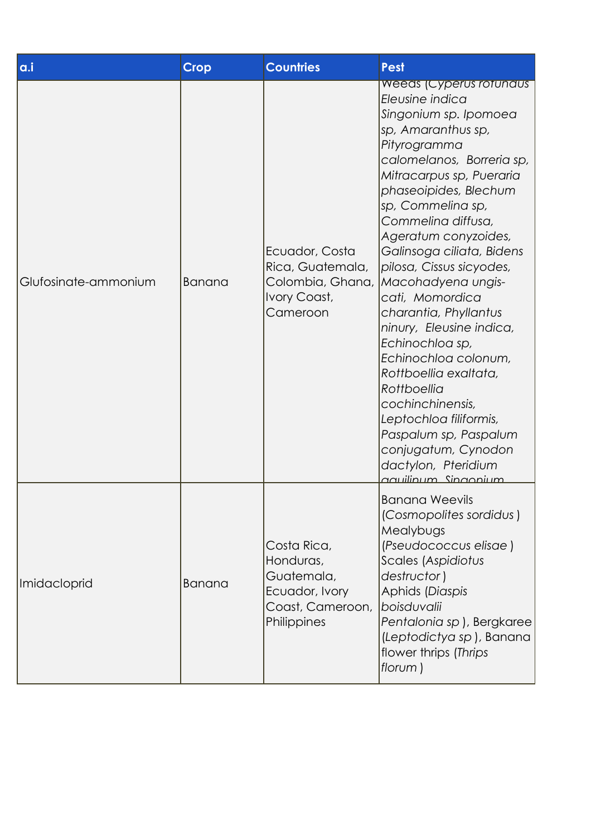| a.i                  | <b>Crop</b>   | <b>Countries</b>                                                                            | <b>Pest</b>                                                                                                                                                                                                                                                                                                                                                                                                                                                                                                                                                                                                                                                                  |
|----------------------|---------------|---------------------------------------------------------------------------------------------|------------------------------------------------------------------------------------------------------------------------------------------------------------------------------------------------------------------------------------------------------------------------------------------------------------------------------------------------------------------------------------------------------------------------------------------------------------------------------------------------------------------------------------------------------------------------------------------------------------------------------------------------------------------------------|
| Glufosinate-ammonium | Banana        | Ecuador, Costa<br>Rica, Guatemala,<br>Ivory Coast,<br>Cameroon                              | <b>Weeds (Cyperus rotundus</b><br>Eleusine indica<br>Singonium sp. Ipomoea<br>sp, Amaranthus sp,<br>Pityrogramma<br>calomelanos, Borreria sp,<br>Mitracarpus sp, Pueraria<br>phaseoipides, Blechum<br>sp, Commelina sp,<br>Commelina diffusa,<br>Ageratum conyzoides,<br>Galinsoga ciliata, Bidens<br>pilosa, Cissus sicyodes,<br>Colombia, Ghana, Macohadyena ungis-<br>cati, Momordica<br>charantia, Phyllantus<br>ninury, Eleusine indica,<br>Echinochloa sp,<br>Echinochloa colonum,<br>Rottboellia exaltata,<br>Rottboellia<br>cochinchinensis,<br>Leptochloa filiformis,<br>Paspalum sp, Paspalum<br>conjugatum, Cynodon<br>dactylon, Pteridium<br>aquilinum Singonium |
| Imidacloprid         | <b>Banana</b> | Costa Rica,<br>Honduras,<br>Guatemala,<br>Ecuador, Ivory<br>Coast, Cameroon,<br>Philippines | <b>Banana Weevils</b><br>(Cosmopolites sordidus)<br>Mealybugs<br>(Pseudococcus elisae)<br>Scales (Aspidiotus<br>destructor)<br>Aphids (Diaspis<br><i>boisduvalii</i><br>Pentalonia sp), Bergkaree<br>(Leptodictya sp), Banana<br>flower thrips (Thrips<br>florum)                                                                                                                                                                                                                                                                                                                                                                                                            |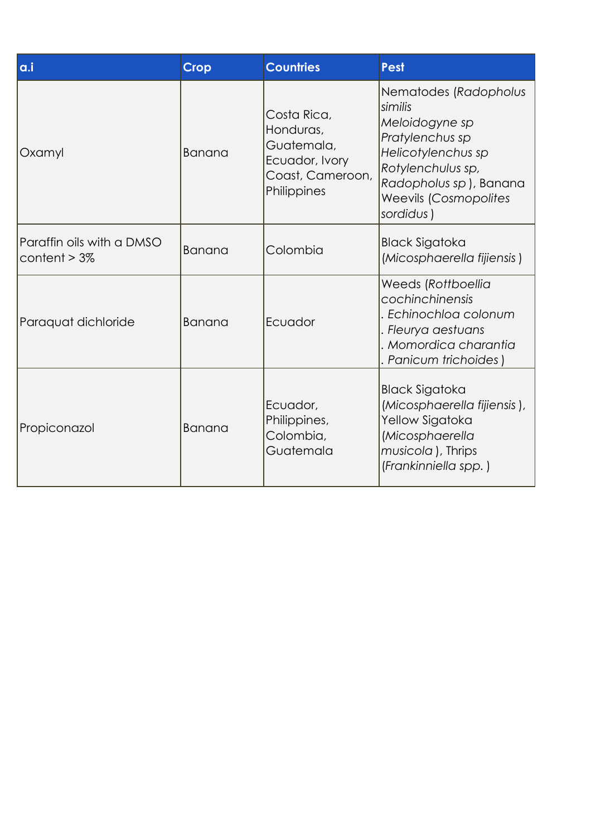| a.i                                          | <b>Crop</b>   | <b>Countries</b>                                                                            | <b>Pest</b>                                                                                                                                                                             |
|----------------------------------------------|---------------|---------------------------------------------------------------------------------------------|-----------------------------------------------------------------------------------------------------------------------------------------------------------------------------------------|
| Oxamyl                                       | <b>Banana</b> | Costa Rica,<br>Honduras,<br>Guatemala,<br>Ecuador, Ivory<br>Coast, Cameroon,<br>Philippines | Nematodes (Radopholus<br>similis<br>Meloidogyne sp<br>Pratylenchus sp<br>Helicotylenchus sp<br>Rotylenchulus sp,<br>Radopholus sp), Banana<br><b>Weevils (Cosmopolites</b><br>sordidus) |
| Paraffin oils with a DMSO<br>content $> 3\%$ | Banana        | Colombia                                                                                    | <b>Black Sigatoka</b><br>(Micosphaerella fijiensis)                                                                                                                                     |
| Paraquat dichloride                          | Banana        | Ecuador                                                                                     | Weeds (Rottboellia<br>cochinchinensis<br>Echinochloa colonum<br>. Fleurya aestuans<br>Momordica charantia<br>Panicum trichoides)                                                        |
| Propiconazol                                 | <b>Banana</b> | Ecuador,<br>Philippines,<br>Colombia,<br>Guatemala                                          | <b>Black Sigatoka</b><br>(Micosphaerella fijiensis),<br>Yellow Sigatoka<br>(Micosphaerella<br>musicola), Thrips<br>(Frankinniella spp.)                                                 |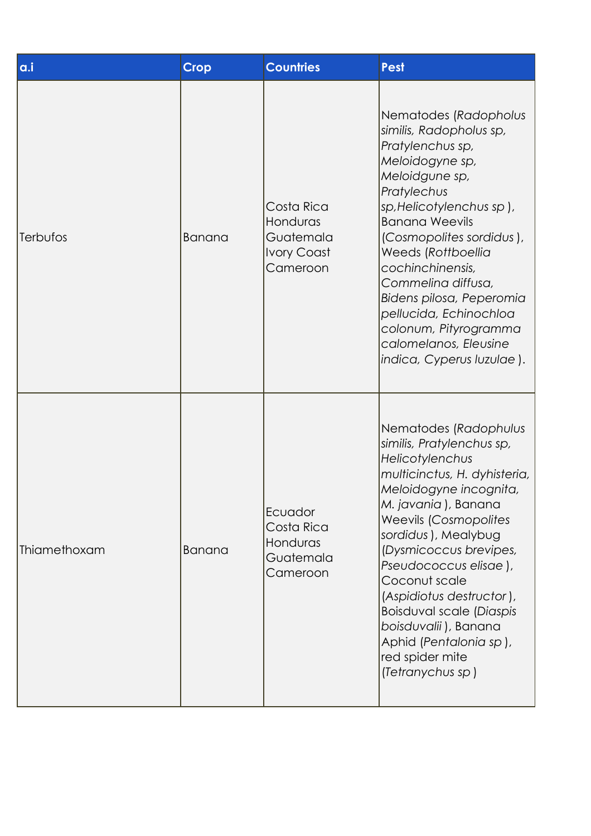| a.i          | <b>Crop</b>   | <b>Countries</b>                                                      | <b>Pest</b>                                                                                                                                                                                                                                                                                                                                                                                                                        |
|--------------|---------------|-----------------------------------------------------------------------|------------------------------------------------------------------------------------------------------------------------------------------------------------------------------------------------------------------------------------------------------------------------------------------------------------------------------------------------------------------------------------------------------------------------------------|
| Terbufos     | <b>Banana</b> | Costa Rica<br>Honduras<br>Guatemala<br><b>Ivory Coast</b><br>Cameroon | Nematodes (Radopholus<br>similis, Radopholus sp,<br>Pratylenchus sp,<br>Meloidogyne sp,<br>Meloidgune sp,<br>Pratylechus<br>sp, Helicotylenchus sp),<br><b>Banana Weevils</b><br>(Cosmopolites sordidus),<br>Weeds (Rottboellia<br>cochinchinensis,<br>Commelina diffusa,<br>Bidens pilosa, Peperomia<br>pellucida, Echinochloa<br>colonum, Pityrogramma<br>calomelanos, Eleusine<br>indica, Cyperus Iuzulae).                     |
| Thiamethoxam | <b>Banana</b> | Ecuador<br>Costa Rica<br>Honduras<br>Guatemala<br>Cameroon            | Nematodes (Radophulus<br>similis, Pratylenchus sp,<br>Helicotylenchus<br>multicinctus, H. dyhisteria,<br>Meloidogyne incognita,<br>M. javania), Banana<br><b>Weevils (Cosmopolites</b><br>sordidus), Mealybug<br>(Dysmicoccus brevipes,<br>Pseudococcus elisae),<br>Coconut scale<br>(Aspidiotus destructor),<br>Boisduval scale (Diaspis<br>boisduvalii), Banana<br>Aphid (Pentalonia sp),<br>red spider mite<br>(Tetranychus sp) |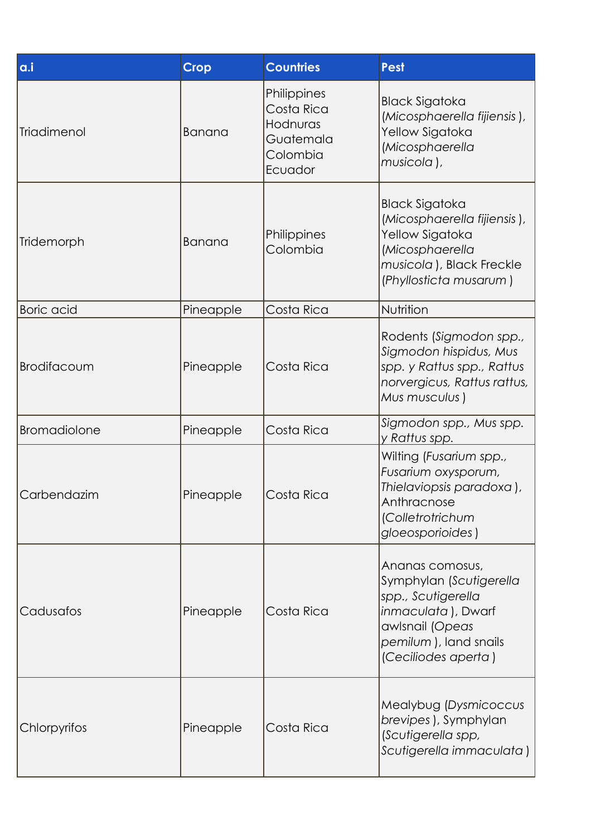| a.i                 | <b>Crop</b> | <b>Countries</b>                                                          | <b>Pest</b>                                                                                                                                                       |
|---------------------|-------------|---------------------------------------------------------------------------|-------------------------------------------------------------------------------------------------------------------------------------------------------------------|
| Triadimenol         | Banana      | Philippines<br>Costa Rica<br>Hodnuras<br>Guatemala<br>Colombia<br>Ecuador | <b>Black Sigatoka</b><br>(Micosphaerella fijiensis),<br>Yellow Sigatoka<br>(Micosphaerella<br>musicola),                                                          |
| Tridemorph          | Banana      | Philippines<br>Colombia                                                   | <b>Black Sigatoka</b><br>(Micosphaerella fijiensis),<br>Yellow Sigatoka<br>(Micosphaerella<br>musicola), Black Freckle<br>(Phyllosticta musarum)                  |
| <b>Boric</b> acid   | Pineapple   | Costa Rica                                                                | Nutrition                                                                                                                                                         |
| Brodifacoum         | Pineapple   | Costa Rica                                                                | Rodents (Sigmodon spp.,<br>Sigmodon hispidus, Mus<br>spp. y Rattus spp., Rattus<br>norvergicus, Rattus rattus,<br>Mus musculus)                                   |
| <b>Bromadiolone</b> | Pineapple   | Costa Rica                                                                | Sigmodon spp., Mus spp.<br>y Rattus spp.                                                                                                                          |
| Carbendazim         | Pineapple   | Costa Rica                                                                | Wilting (Fusarium spp.,<br>Fusarium oxysporum,<br>Thielaviopsis paradoxa),<br>Anthracnose<br>(Colletrotrichum<br>gloeosporioides)                                 |
| Cadusafos           | Pineapple   | Costa Rica                                                                | Ananas comosus,<br>Symphylan (Scutigerella<br>spp., Scutigerella<br><i>inmaculata</i> ), Dwarf<br>awlsnail (Opeas<br>pemilum), land snails<br>(Ceciliodes aperta) |
| Chlorpyrifos        | Pineapple   | Costa Rica                                                                | Mealybug (Dysmicoccus<br>brevipes), Symphylan<br>(Scutigerella spp,<br>Scutigerella immaculata)                                                                   |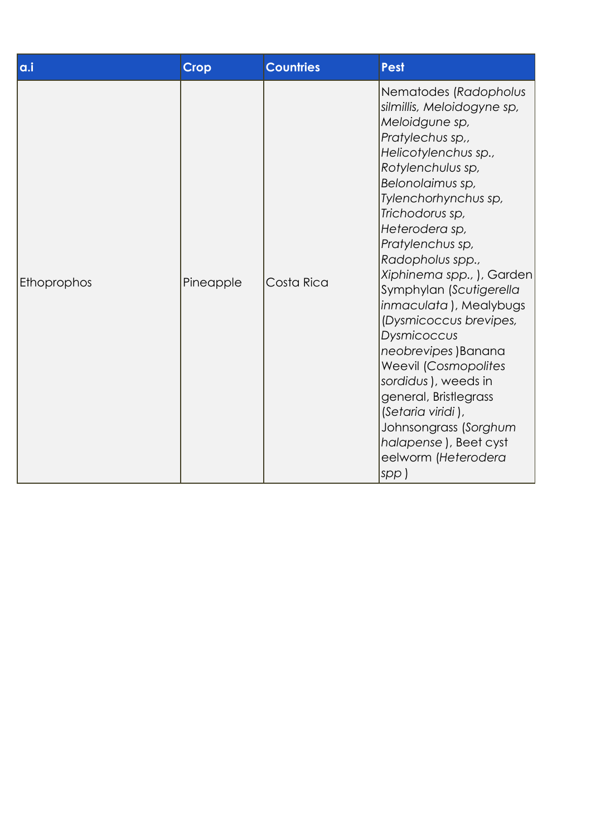| a.i         | <b>Crop</b> | <b>Countries</b> | <b>Pest</b>                                                                                                                                                                                                                                                                                                                                                                                                                                                                                                                                                                                                    |
|-------------|-------------|------------------|----------------------------------------------------------------------------------------------------------------------------------------------------------------------------------------------------------------------------------------------------------------------------------------------------------------------------------------------------------------------------------------------------------------------------------------------------------------------------------------------------------------------------------------------------------------------------------------------------------------|
| Ethoprophos | Pineapple   | Costa Rica       | Nematodes (Radopholus<br>silmillis, Meloidogyne sp,<br>Meloidgune sp,<br>Pratylechus sp.,<br>Helicotylenchus sp.,<br>Rotylenchulus sp,<br>Belonolaimus sp,<br>Tylenchorhynchus sp,<br>Trichodorus sp,<br>Heterodera sp,<br>Pratylenchus sp,<br>Radopholus spp.,<br>Xiphinema spp., ), Garden<br>Symphylan (Scutigerella<br><i>inmaculata</i> ), Mealybugs<br>(Dysmicoccus brevipes,<br>Dysmicoccus<br>neobrevipes) Banana<br><b>Weevil (Cosmopolites</b><br>sordidus), weeds in<br>general, Bristlegrass<br>(Setaria viridi),<br>Johnsongrass (Sorghum<br>halapense), Beet cyst<br>eelworm (Heterodera<br>spp) |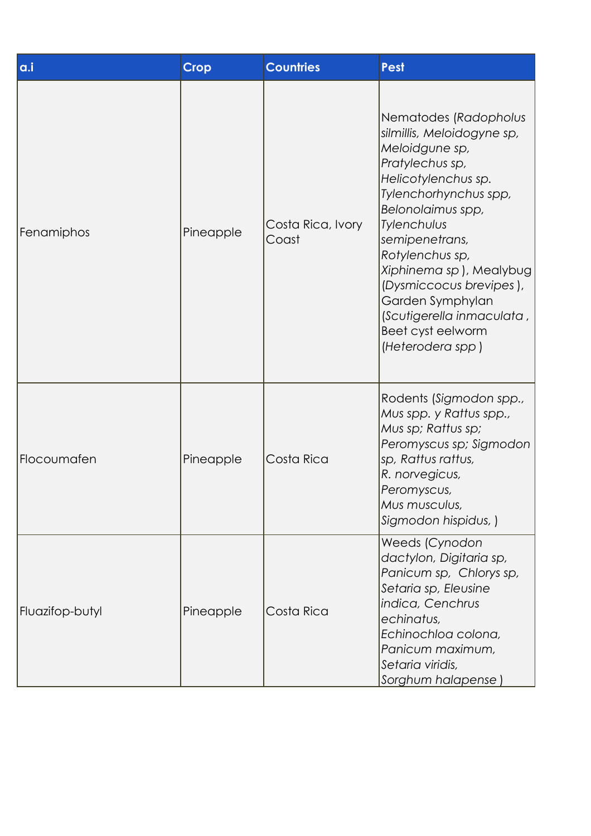| a.i             | <b>Crop</b> | <b>Countries</b>           | <b>Pest</b>                                                                                                                                                                                                                                                                                                                                                       |
|-----------------|-------------|----------------------------|-------------------------------------------------------------------------------------------------------------------------------------------------------------------------------------------------------------------------------------------------------------------------------------------------------------------------------------------------------------------|
| Fenamiphos      | Pineapple   | Costa Rica, Ivory<br>Coast | Nematodes (Radopholus<br>silmillis, Meloidogyne sp,<br>Meloidgune sp,<br>Pratylechus sp,<br>Helicotylenchus sp.<br>Tylenchorhynchus spp,<br>Belonolaimus spp,<br>Tylenchulus<br>semipenetrans,<br>Rotylenchus sp,<br>Xiphinema sp), Mealybug<br>(Dysmiccocus brevipes),<br>Garden Symphylan<br>(Scutigerella inmaculata,<br>Beet cyst eelworm<br>(Heterodera spp) |
| Flocoumafen     | Pineapple   | Costa Rica                 | Rodents (Sigmodon spp.,<br>Mus spp. y Rattus spp.,<br>Mus sp; Rattus sp;<br>Peromyscus sp; Sigmodon<br>sp, Rattus rattus,<br>R. norvegicus,<br>Peromyscus,<br>Mus musculus,<br>Sigmodon hispidus, )                                                                                                                                                               |
| Fluazifop-butyl | Pineapple   | Costa Rica                 | Weeds (Cynodon<br>dactylon, Digitaria sp,<br>Panicum sp, Chlorys sp,<br>Setaria sp, Eleusine<br>indica, Cenchrus<br>echinatus,<br>Echinochloa colona,<br>Panicum maximum,<br>Setaria viridis,<br>Sorghum halapense                                                                                                                                                |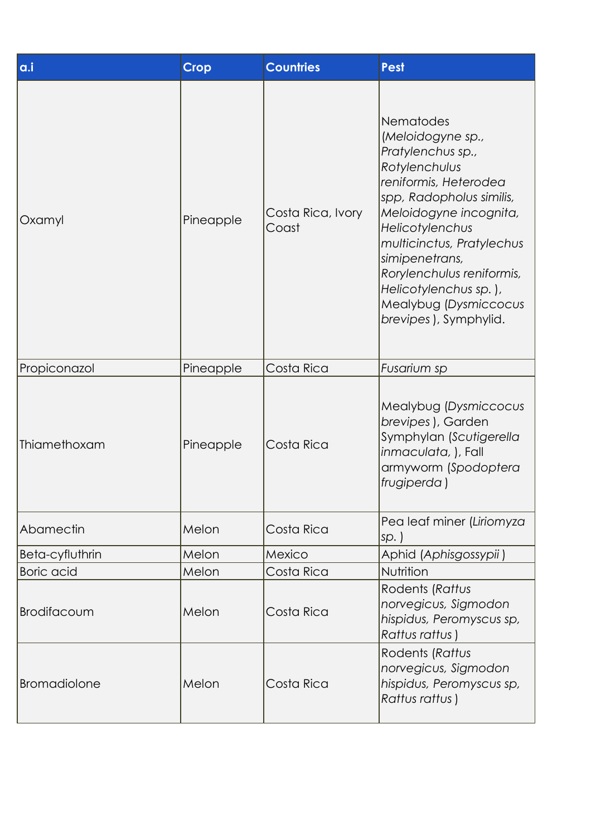| a.i                 | <b>Crop</b> | <b>Countries</b>           | <b>Pest</b>                                                                                                                                                                                                                                                                                                                   |
|---------------------|-------------|----------------------------|-------------------------------------------------------------------------------------------------------------------------------------------------------------------------------------------------------------------------------------------------------------------------------------------------------------------------------|
| Oxamyl              | Pineapple   | Costa Rica, Ivory<br>Coast | Nematodes<br>(Meloidogyne sp.,<br>Pratylenchus sp.,<br>Rotylenchulus<br>reniformis, Heterodea<br>spp, Radopholus similis,<br>Meloidogyne incognita,<br>Helicotylenchus<br>multicinctus, Pratylechus<br>simipenetrans,<br>Rorylenchulus reniformis,<br>Helicotylenchus sp.),<br>Mealybug (Dysmiccocus<br>brevipes), Symphylid. |
| Propiconazol        | Pineapple   | Costa Rica                 | Fusarium sp                                                                                                                                                                                                                                                                                                                   |
| Thiamethoxam        | Pineapple   | Costa Rica                 | Mealybug (Dysmiccocus<br>brevipes), Garden<br>Symphylan (Scutigerella<br>inmaculata, ), Fall<br>armyworm (Spodoptera<br> frugiperda)                                                                                                                                                                                          |
| Abamectin           | Melon       | Costa Rica                 | Pea leaf miner (Liriomyza<br>$sp.$ )                                                                                                                                                                                                                                                                                          |
| Beta-cyfluthrin     | Melon       | Mexico                     | Aphid (Aphisgossypii)                                                                                                                                                                                                                                                                                                         |
| <b>Boric</b> acid   | Melon       | Costa Rica                 | Nutrition                                                                                                                                                                                                                                                                                                                     |
| Brodifacoum         | Melon       | Costa Rica                 | Rodents (Rattus<br>norvegicus, Sigmodon<br>hispidus, Peromyscus sp,<br>Rattus rattus)                                                                                                                                                                                                                                         |
| <b>Bromadiolone</b> | Melon       | Costa Rica                 | Rodents (Rattus<br>norvegicus, Sigmodon<br>hispidus, Peromyscus sp,<br>Rattus rattus)                                                                                                                                                                                                                                         |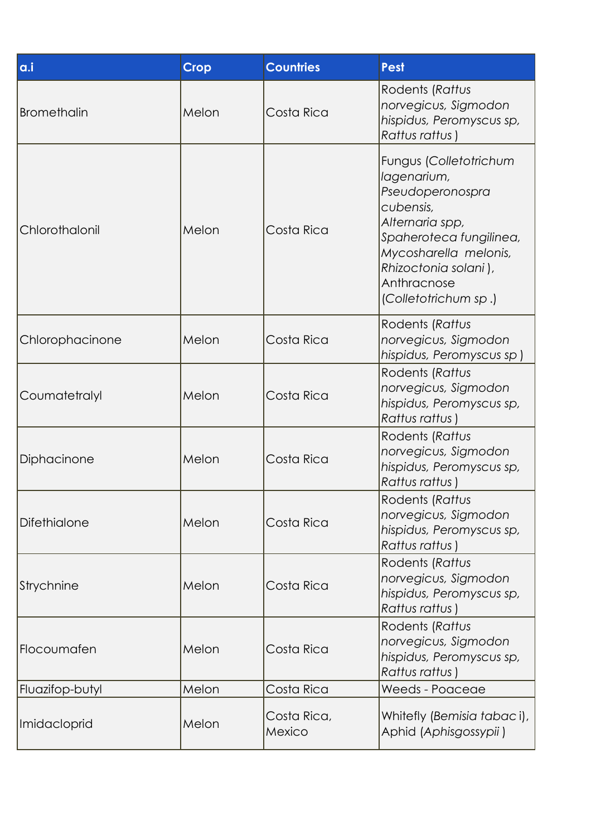| a.i                | <b>Crop</b> | <b>Countries</b>      | <b>Pest</b>                                                                                                                                                                                                  |
|--------------------|-------------|-----------------------|--------------------------------------------------------------------------------------------------------------------------------------------------------------------------------------------------------------|
| <b>Bromethalin</b> | Melon       | Costa Rica            | Rodents (Rattus<br>norvegicus, Sigmodon<br>hispidus, Peromyscus sp,<br>Rattus rattus)                                                                                                                        |
| Chlorothalonil     | Melon       | Costa Rica            | Fungus (Colletotrichum<br>lagenarium,<br>Pseudoperonospra<br>cubensis,<br>Alternaria spp,<br>Spaheroteca fungilinea,<br>Mycosharella melonis,<br>Rhizoctonia solani),<br>Anthracnose<br>(Colletotrichum sp.) |
| Chlorophacinone    | Melon       | Costa Rica            | Rodents (Rattus<br>norvegicus, Sigmodon<br>hispidus, Peromyscus sp)                                                                                                                                          |
| Coumatetralyl      | Melon       | Costa Rica            | Rodents (Rattus<br>norvegicus, Sigmodon<br>hispidus, Peromyscus sp,<br>Rattus rattus)                                                                                                                        |
| Diphacinone        | Melon       | Costa Rica            | Rodents (Rattus<br>norvegicus, Sigmodon<br>hispidus, Peromyscus sp,<br>Rattus rattus)                                                                                                                        |
| Difethialone       | Melon       | Costa Rica            | Rodents (Rattus<br>norvegicus, Sigmodon<br>hispidus, Peromyscus sp,<br>Rattus rattus)                                                                                                                        |
| Strychnine         | Melon       | Costa Rica            | Rodents (Rattus<br>norvegicus, Sigmodon<br>hispidus, Peromyscus sp,<br>Rattus rattus)                                                                                                                        |
| Flocoumafen        | Melon       | Costa Rica            | Rodents (Rattus<br>norvegicus, Sigmodon<br>hispidus, Peromyscus sp,<br>Rattus rattus)                                                                                                                        |
| Fluazifop-butyl    | Melon       | Costa Rica            | Weeds - Poaceae                                                                                                                                                                                              |
| Imidacloprid       | Melon       | Costa Rica,<br>Mexico | Whitefly (Bemisia tabaci),<br>Aphid (Aphisgossypii)                                                                                                                                                          |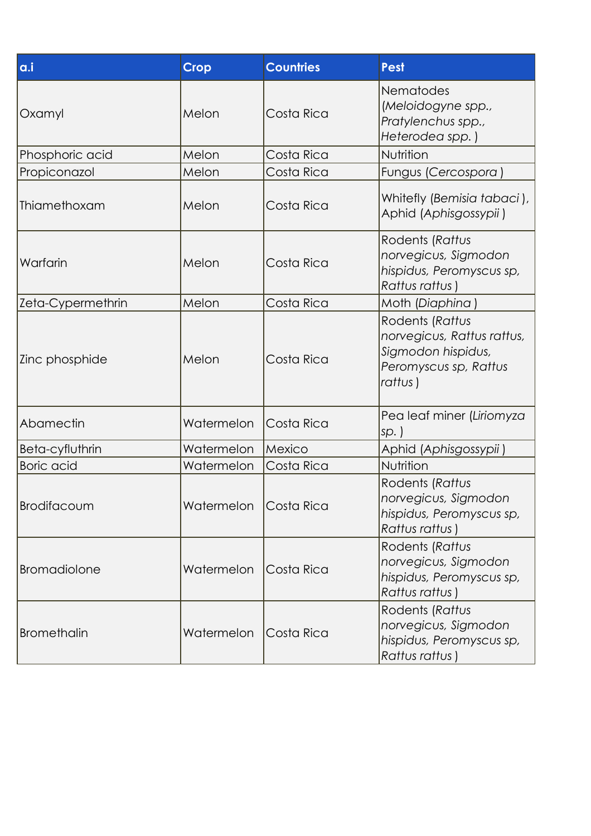| a.i                | <b>Crop</b> | <b>Countries</b> | <b>Pest</b>                                                                                             |
|--------------------|-------------|------------------|---------------------------------------------------------------------------------------------------------|
| Oxamyl             | Melon       | Costa Rica       | <b>Nematodes</b><br>(Meloidogyne spp.,<br>Pratylenchus spp.,<br>Heterodea spp.)                         |
| Phosphoric acid    | Melon       | Costa Rica       | Nutrition                                                                                               |
| Propiconazol       | Melon       | Costa Rica       | Fungus (Cercospora)                                                                                     |
| Thiamethoxam       | Melon       | Costa Rica       | Whitefly (Bemisia tabaci),<br>Aphid (Aphisgossypii)                                                     |
| Warfarin           | Melon       | Costa Rica       | Rodents (Rattus<br>norvegicus, Sigmodon<br>hispidus, Peromyscus sp,<br>Rattus rattus)                   |
| Zeta-Cypermethrin  | Melon       | Costa Rica       | Moth (Diaphina)                                                                                         |
| Zinc phosphide     | Melon       | Costa Rica       | Rodents (Rattus<br>norvegicus, Rattus rattus,<br>Sigmodon hispidus,<br>Peromyscus sp, Rattus<br>rattus) |
| Abamectin          | Watermelon  | Costa Rica       | Pea leaf miner (Liriomyza<br>$sp.$ )                                                                    |
| Beta-cyfluthrin    | Watermelon  | Mexico           | Aphid (Aphisgossypii)                                                                                   |
| <b>Boric</b> acid  | Watermelon  | Costa Rica       | Nutrition                                                                                               |
| <b>Brodifacoum</b> | Watermelon  | Costa Rica       | Rodents (Rattus<br>norvegicus, Sigmodon<br>hispidus, Peromyscus sp,<br>Rattus rattus)                   |
| Bromadiolone       | Watermelon  | Costa Rica       | Rodents (Rattus<br>norvegicus, Sigmodon<br>hispidus, Peromyscus sp,<br>Rattus rattus)                   |
| Bromethalin        | Watermelon  | Costa Rica       | Rodents (Rattus<br>norvegicus, Sigmodon<br>hispidus, Peromyscus sp,<br>Rattus rattus)                   |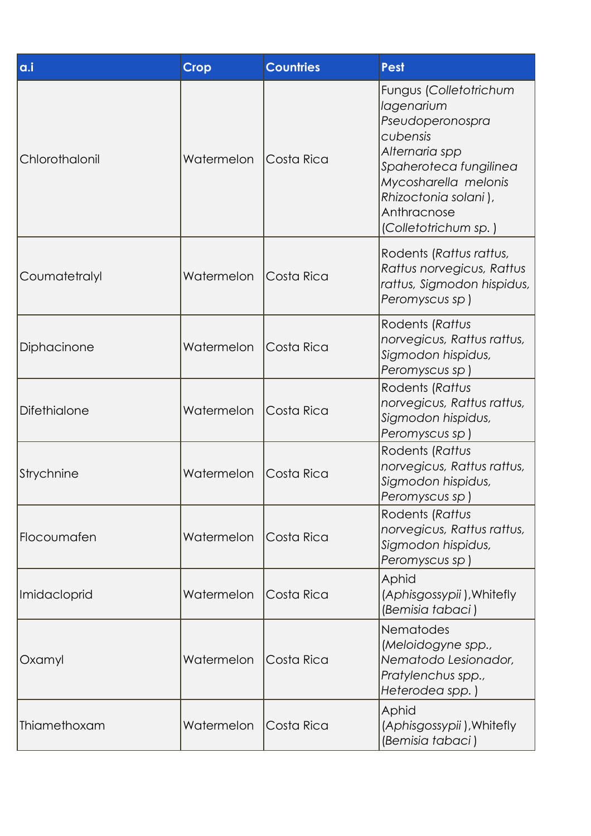| a.i            | <b>Crop</b> | <b>Countries</b> | Pest                                                                                                                                                                                                    |
|----------------|-------------|------------------|---------------------------------------------------------------------------------------------------------------------------------------------------------------------------------------------------------|
| Chlorothalonil | Watermelon  | Costa Rica       | Fungus (Colletotrichum<br>lagenarium<br>Pseudoperonospra<br>cubensis<br>Alternaria spp<br>Spaheroteca fungilinea<br>Mycosharella melonis<br>Rhizoctonia solani),<br>Anthracnose<br>(Colletotrichum sp.) |
| Coumatetralyl  | Watermelon  | Costa Rica       | Rodents (Rattus rattus,<br>Rattus norvegicus, Rattus<br>rattus, Sigmodon hispidus,<br>Peromyscus sp)                                                                                                    |
| Diphacinone    | Watermelon  | Costa Rica       | Rodents (Rattus<br>norvegicus, Rattus rattus,<br>Sigmodon hispidus,<br>Peromyscus sp)                                                                                                                   |
| Difethialone   | Watermelon  | Costa Rica       | Rodents (Rattus<br>norvegicus, Rattus rattus,<br>Sigmodon hispidus,<br>Peromyscus sp)                                                                                                                   |
| Strychnine     | Watermelon  | Costa Rica       | Rodents (Rattus<br>norvegicus, Rattus rattus,<br>Sigmodon hispidus,<br>Peromyscus sp)                                                                                                                   |
| Flocoumafen    | Watermelon  | Costa Rica       | Rodents (Rattus<br>norvegicus, Rattus rattus,<br>Sigmodon hispidus,<br>Peromyscus sp)                                                                                                                   |
| Imidacloprid   | Watermelon  | Costa Rica       | <b>Aphid</b><br>(Aphisgossypii), Whitefly<br>(Bemisia tabaci)                                                                                                                                           |
| Oxamyl         | Watermelon  | Costa Rica       | Nematodes<br>(Meloidogyne spp.,<br>Nematodo Lesionador,<br>Pratylenchus spp.,<br>Heterodea spp.)                                                                                                        |
| Thiamethoxam   | Watermelon  | Costa Rica       | Aphid<br>(Aphisgossypii), Whitefly<br>(Bemisia tabaci)                                                                                                                                                  |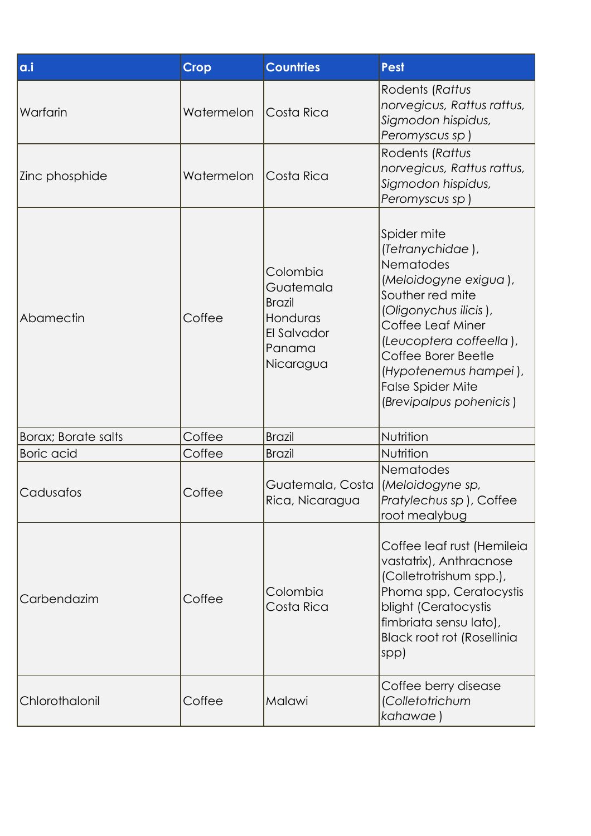| a.i                         | <b>Crop</b> | <b>Countries</b>                                                                         | <b>Pest</b>                                                                                                                                                                                                                                                                      |
|-----------------------------|-------------|------------------------------------------------------------------------------------------|----------------------------------------------------------------------------------------------------------------------------------------------------------------------------------------------------------------------------------------------------------------------------------|
| Warfarin                    | Watermelon  | Costa Rica                                                                               | Rodents (Rattus<br>norvegicus, Rattus rattus,<br>Sigmodon hispidus,<br>Peromyscus sp)                                                                                                                                                                                            |
| Zinc phosphide              | Watermelon  | Costa Rica                                                                               | Rodents (Rattus<br>norvegicus, Rattus rattus,<br>Sigmodon hispidus,<br>Peromyscus sp)                                                                                                                                                                                            |
| Abamectin                   | Coffee      | Colombia<br>Guatemala<br><b>Brazil</b><br>Honduras<br>El Salvador<br>Panama<br>Nicaragua | Spider mite<br>(Tetranychidae),<br><b>Nematodes</b><br>(Meloidogyne exigua),<br>Souther red mite<br>(Oligonychus ilicis),<br>Coffee Leaf Miner<br>(Leucoptera coffeella),<br>Coffee Borer Beetle<br>(Hypotenemus hampei),<br><b>False Spider Mite</b><br>(Brevipalpus pohenicis) |
| <b>Borax</b> ; Borate salts | Coffee      | <b>Brazil</b>                                                                            | Nutrition                                                                                                                                                                                                                                                                        |
| <b>Boric</b> acid           | Coffee      | <b>Brazil</b>                                                                            | Nutrition                                                                                                                                                                                                                                                                        |
| Cadusafos                   | Coffee      | Guatemala, Costa<br>Rica, Nicaragua                                                      | Nematodes<br>(Meloidogyne sp,<br>Pratylechus sp), Coffee<br>root mealybug                                                                                                                                                                                                        |
| Carbendazim                 | Coffee      | Colombia<br>Costa Rica                                                                   | Coffee leaf rust (Hemileia<br>vastatrix), Anthracnose<br>(Colletrotrishum spp.),<br>Phoma spp, Ceratocystis<br>blight (Ceratocystis<br>fimbriata sensu lato),<br><b>Black root rot (Rosellinia</b><br>$ $ spp $ $                                                                |
| Chlorothalonil              | Coffee      | Malawi                                                                                   | Coffee berry disease<br>(Colletotrichum<br>kahawae)                                                                                                                                                                                                                              |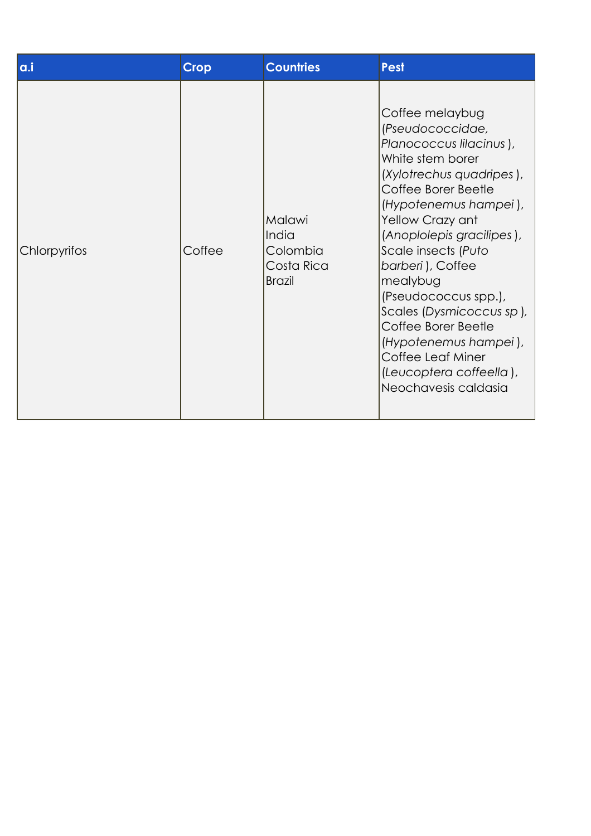| a.i          | <b>Crop</b> | <b>Countries</b>                                           | <b>Pest</b>                                                                                                                                                                                                                                                                                                                                                                                                                                        |
|--------------|-------------|------------------------------------------------------------|----------------------------------------------------------------------------------------------------------------------------------------------------------------------------------------------------------------------------------------------------------------------------------------------------------------------------------------------------------------------------------------------------------------------------------------------------|
| Chlorpyrifos | Coffee      | Malawi<br>India<br>Colombia<br>Costa Rica<br><b>Brazil</b> | Coffee melaybug<br>(Pseudococcidae,<br>Planococcus lilacinus),<br>White stem borer<br>(Xylotrechus quadripes),<br>Coffee Borer Beetle<br>(Hypotenemus hampei),<br>Yellow Crazy ant<br>(Anoplolepis gracilipes),<br>Scale insects (Puto<br>barberi), Coffee<br>mealybug<br>(Pseudococcus spp.),<br>Scales (Dysmicoccus sp),<br>Coffee Borer Beetle<br>(Hypotenemus hampei),<br>Coffee Leaf Miner<br>(Leucoptera coffeella),<br>Neochavesis caldasia |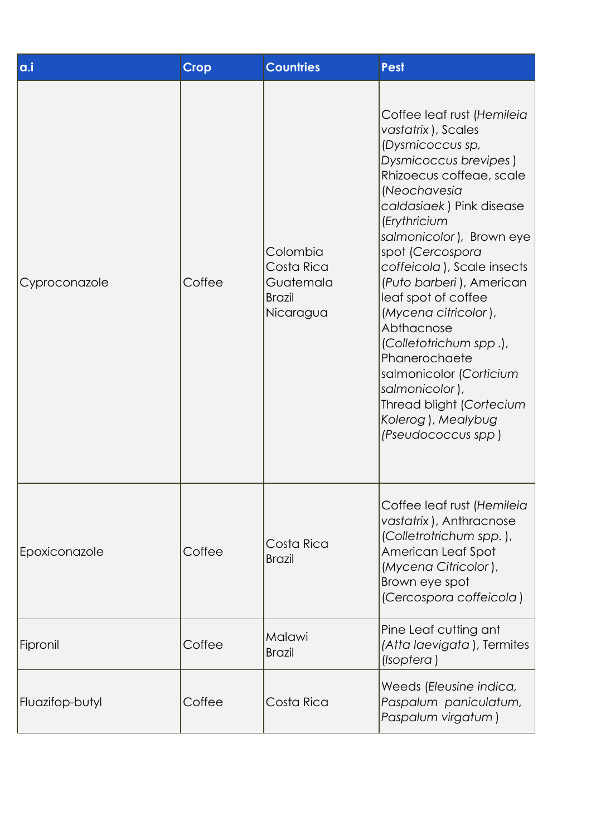| a.i             | <b>Crop</b> | <b>Countries</b>                                                  | <b>Pest</b>                                                                                                                                                                                                                                                                                                                                                                                                                                                                                                                  |
|-----------------|-------------|-------------------------------------------------------------------|------------------------------------------------------------------------------------------------------------------------------------------------------------------------------------------------------------------------------------------------------------------------------------------------------------------------------------------------------------------------------------------------------------------------------------------------------------------------------------------------------------------------------|
| Cyproconazole   | Coffee      | Colombia<br>Costa Rica<br>Guatemala<br><b>Brazil</b><br>Nicaragua | Coffee leaf rust (Hemileia<br>vastatrix), Scales<br>(Dysmicoccus sp,<br>Dysmicoccus brevipes)<br>Rhizoecus coffeae, scale<br>(Neochavesia<br>caldasiaek) Pink disease<br>(Erythricium<br>salmonicolor), Brown eye<br>spot (Cercospora<br>coffeicola), Scale insects<br>(Puto barberi), American<br>leaf spot of coffee<br>(Mycena citricolor),<br>Abthacnose<br>(Colletotrichum spp.),<br>Phanerochaete<br>salmonicolor (Corticium<br>salmonicolor),<br>Thread blight (Cortecium<br>Kolerog), Mealybug<br>(Pseudococcus spp) |
| Epoxiconazole   | Coffee      | Costa Rica<br><b>Brazil</b>                                       | Coffee leaf rust (Hemileia<br>vastatrix), Anthracnose<br>(Colletrotrichum spp.),<br>American Leaf Spot<br>(Mycena Citricolor),<br>Brown eye spot<br>(Cercospora coffeicola)                                                                                                                                                                                                                                                                                                                                                  |
| Fipronil        | Coffee      | Malawi<br><b>Brazil</b>                                           | Pine Leaf cutting ant<br>(Atta laevigata), Termites<br>(Isoptera)                                                                                                                                                                                                                                                                                                                                                                                                                                                            |
| Fluazifop-butyl | Coffee      | Costa Rica                                                        | Weeds (Eleusine indica,<br>Paspalum paniculatum,<br>Paspalum virgatum)                                                                                                                                                                                                                                                                                                                                                                                                                                                       |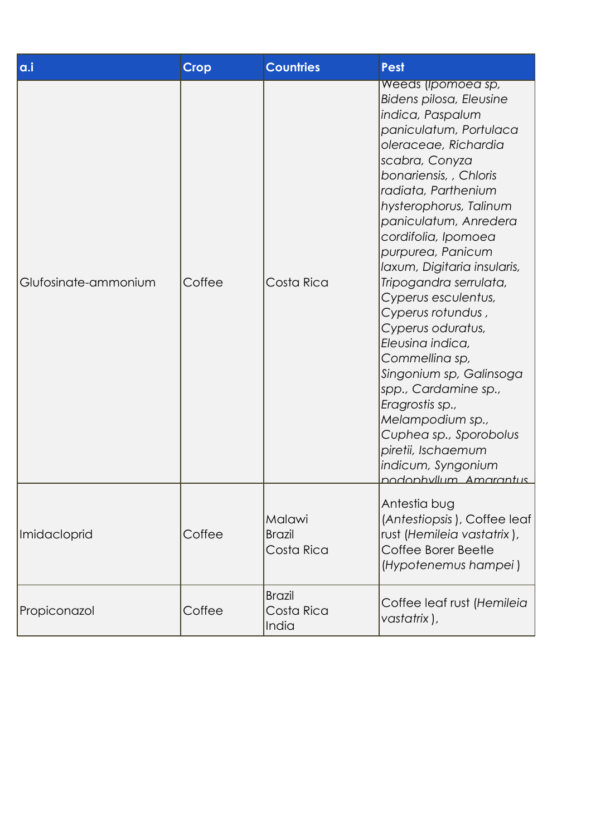| a.i                  | <b>Crop</b> | <b>Countries</b>                      | Pest                                                                                                                                                                                                                                                                                                                                                                                                                                                                                                                                                                                                                                           |
|----------------------|-------------|---------------------------------------|------------------------------------------------------------------------------------------------------------------------------------------------------------------------------------------------------------------------------------------------------------------------------------------------------------------------------------------------------------------------------------------------------------------------------------------------------------------------------------------------------------------------------------------------------------------------------------------------------------------------------------------------|
| Glufosinate-ammonium | Coffee      | Costa Rica                            | Weeds (Ipomoed sp,<br>Bidens pilosa, Eleusine<br>indica, Paspalum<br>paniculatum, Portulaca<br>oleraceae, Richardia<br>scabra, Conyza<br>bonariensis, , Chloris<br>radiata, Parthenium<br>hysterophorus, Talinum<br>paniculatum, Anredera<br>cordifolia, Ipomoea<br>purpurea, Panicum<br>Iaxum, Digitaria insularis,<br>Tripogandra serrulata,<br>Cyperus esculentus,<br>Cyperus rotundus,<br>Cyperus oduratus,<br>Eleusina indica,<br>Commellina sp,<br>Singonium sp, Galinsoga<br>spp., Cardamine sp.,<br>Eragrostis sp.,<br>Melampodium sp.,<br>Cuphea sp., Sporobolus<br>piretii, Ischaemum<br>indicum, Syngonium<br>nodonhyllum Amarantus |
| Imidacloprid         | Coffee      | Malawi<br><b>Brazil</b><br>Costa Rica | Antestia bug<br>(Antestiopsis), Coffee leaf<br>rust (Hemileia vastatrix),<br>Coffee Borer Beetle<br>(Hypotenemus hampei)                                                                                                                                                                                                                                                                                                                                                                                                                                                                                                                       |
| Propiconazol         | Coffee      | <b>Brazil</b><br>Costa Rica<br>India  | Coffee leaf rust (Hemileia<br>vastatrix),                                                                                                                                                                                                                                                                                                                                                                                                                                                                                                                                                                                                      |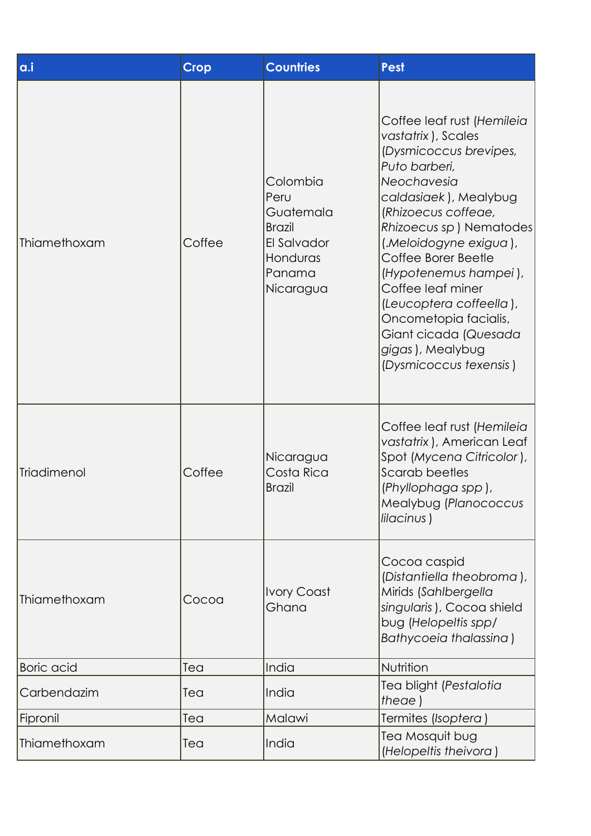| a.i               | <b>Crop</b> | <b>Countries</b>                                                                                 | <b>Pest</b>                                                                                                                                                                                                                                                                                                                                                                                                      |
|-------------------|-------------|--------------------------------------------------------------------------------------------------|------------------------------------------------------------------------------------------------------------------------------------------------------------------------------------------------------------------------------------------------------------------------------------------------------------------------------------------------------------------------------------------------------------------|
| Thiamethoxam      | Coffee      | Colombia<br>Peru<br>Guatemala<br><b>Brazil</b><br>El Salvador<br>Honduras<br>Panama<br>Nicaragua | Coffee leaf rust (Hemileia<br>vastatrix), Scales<br>(Dysmicoccus brevipes,<br>Puto barberi,<br>Neochavesia<br>caldasiaek), Mealybug<br>(Rhizoecus coffeae,<br>Rhizoecus sp) Nematodes <br>(.Meloidogyne exigua),<br>Coffee Borer Beetle<br>(Hypotenemus hampei),<br>Coffee leaf miner<br>(Leucoptera coffeella),<br>Oncometopia facialis,<br>Giant cicada (Quesada<br>gigas), Mealybug<br>(Dysmicoccus texensis) |
| Triadimenol       | Coffee      | Nicaragua<br>Costa Rica<br><b>Brazil</b>                                                         | Coffee leaf rust (Hemileia<br>vastatrix), American Leaf<br>Spot (Mycena Citricolor),<br>Scarab beetles<br>(Phyllophaga spp),<br>Mealybug (Planococcus<br>lilacinus)                                                                                                                                                                                                                                              |
| Thiamethoxam      | Cocoa       | <b>Ivory Coast</b><br>Ghana                                                                      | Cocoa caspid<br>(Distantiella theobroma),<br>Mirids (Sahlbergella<br>singularis), Cocoa shield<br>bug (Helopeltis spp/<br>Bathycoeia thalassina)                                                                                                                                                                                                                                                                 |
| <b>Boric</b> acid | Tea         | India                                                                                            | Nutrition                                                                                                                                                                                                                                                                                                                                                                                                        |
| Carbendazim       | Tea         | India                                                                                            | Tea blight (Pestalotia<br>theae)                                                                                                                                                                                                                                                                                                                                                                                 |
| Fipronil          | Tea         | Malawi                                                                                           | Termites (Isoptera )                                                                                                                                                                                                                                                                                                                                                                                             |
| Thiamethoxam      | Tea         | India                                                                                            | Tea Mosquit bug<br>(Helopeltis theivora)                                                                                                                                                                                                                                                                                                                                                                         |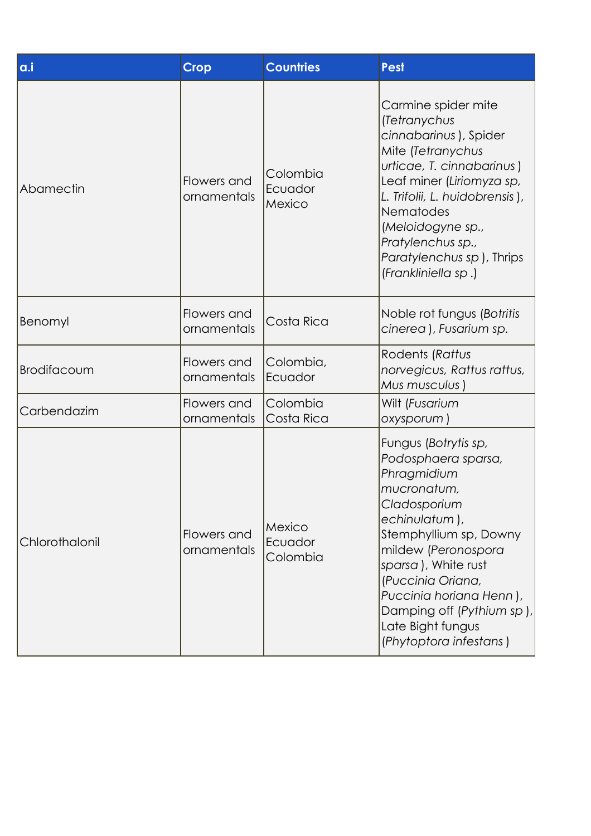| a.i            | <b>Crop</b>                | <b>Countries</b>              | <b>Pest</b>                                                                                                                                                                                                                                                                                                    |
|----------------|----------------------------|-------------------------------|----------------------------------------------------------------------------------------------------------------------------------------------------------------------------------------------------------------------------------------------------------------------------------------------------------------|
| Abamectin      | Flowers and<br>ornamentals | Colombia<br>Ecuador<br>Mexico | Carmine spider mite<br>(Tetranychus<br>cinnabarinus), Spider<br>Mite (Tetranychus<br>urticae, T. cinnabarinus)<br>Leaf miner (Liriomyza sp,<br>L. Trifolii, L. huidobrensis),<br>Nematodes<br>(Meloidogyne sp.,<br>Pratylenchus sp.,<br>Paratylenchus sp), Thrips<br>(Frankliniella sp.)                       |
| Benomyl        | Flowers and<br>ornamentals | Costa Rica                    | Noble rot fungus (Botritis<br>cinerea), Fusarium sp.                                                                                                                                                                                                                                                           |
| Brodifacoum    | Flowers and<br>ornamentals | Colombia,<br>Ecuador          | Rodents (Rattus<br>norvegicus, Rattus rattus,<br>Mus musculus)                                                                                                                                                                                                                                                 |
| Carbendazim    | Flowers and<br>ornamentals | Colombia<br>Costa Rica        | Wilt (Fusarium<br>oxysporum)                                                                                                                                                                                                                                                                                   |
| Chlorothalonil | Flowers and<br>ornamentals | Mexico<br>Ecuador<br>Colombia | Fungus (Botrytis sp,<br>Podosphaera sparsa,<br>Phragmidium<br>mucronatum,<br>Cladosporium<br>echinulatum),<br>Stemphyllium sp, Downy<br>mildew (Peronospora<br>sparsa), White rust<br>(Puccinia Oriana,<br>Puccinia horiana Henn),<br>Damping off (Pythium sp),<br>Late Bight fungus<br>(Phytoptora infestans) |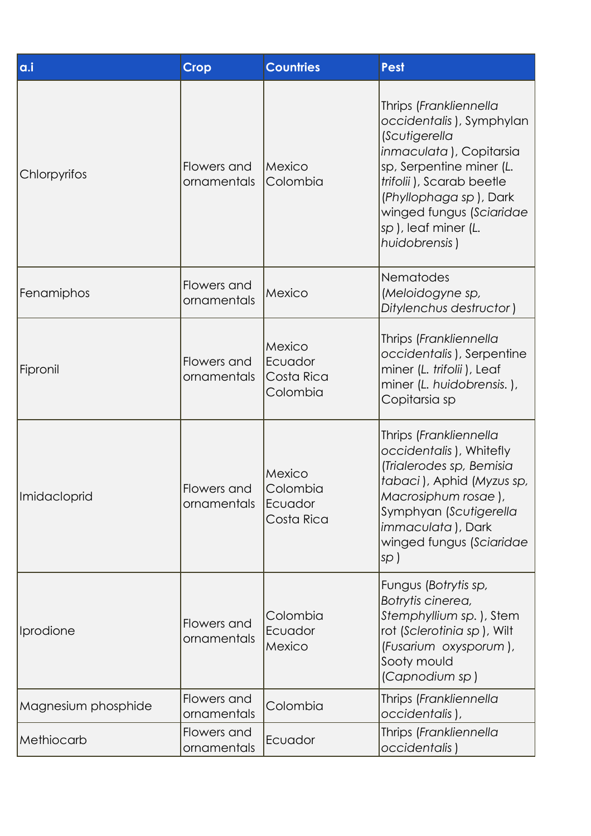| a.i                 | <b>Crop</b>                | <b>Countries</b>                            | <b>Pest</b>                                                                                                                                                                                                                                          |
|---------------------|----------------------------|---------------------------------------------|------------------------------------------------------------------------------------------------------------------------------------------------------------------------------------------------------------------------------------------------------|
| Chlorpyrifos        | Flowers and<br>ornamentals | Mexico<br>Colombia                          | Thrips (Frankliennella<br>occidentalis), Symphylan<br>(Scutigerella<br>inmaculata), Copitarsia<br>sp, Serpentine miner (L.<br>trifolii), Scarab beetle<br>(Phyllophaga sp), Dark<br>winged fungus (Sciaridae<br>sp), leaf miner (L.<br>huidobrensis) |
| Fenamiphos          | Flowers and<br>ornamentals | Mexico                                      | <b>Nematodes</b><br>(Meloidogyne sp,<br>Ditylenchus destructor)                                                                                                                                                                                      |
| Fipronil            | Flowers and<br>ornamentals | Mexico<br>Ecuador<br>Costa Rica<br>Colombia | Thrips (Frankliennella<br>occidentalis), Serpentine<br>miner (L. trifolii), Leaf<br>miner (L. huidobrensis.),<br>Copitarsia sp                                                                                                                       |
| Imidacloprid        | Flowers and<br>ornamentals | Mexico<br>Colombia<br>Ecuador<br>Costa Rica | Thrips (Frankliennella<br>occidentalis), Whitefly<br>(Trialerodes sp, Bemisia<br>tabaci), Aphid (Myzus sp,<br>Macrosiphum rosae ),<br>Symphyan (Scutigerella<br><i>immaculata</i> ), Dark<br>winged fungus (Sciaridae<br>sp)                         |
| Iprodione           | Flowers and<br>ornamentals | Colombia<br>Ecuador<br>Mexico               | Fungus (Botrytis sp,<br>Botrytis cinerea,<br>Stemphyllium sp.), Stem<br>rot (Sclerotinia sp), Wilt<br>(Fusarium oxysporum),<br>Sooty mould<br>(Capnodium sp)                                                                                         |
| Magnesium phosphide | Flowers and<br>ornamentals | Colombia                                    | Thrips (Frankliennella<br>occidentalis),                                                                                                                                                                                                             |
| Methiocarb          | Flowers and<br>ornamentals | Ecuador                                     | Thrips (Frankliennella<br>occidentalis)                                                                                                                                                                                                              |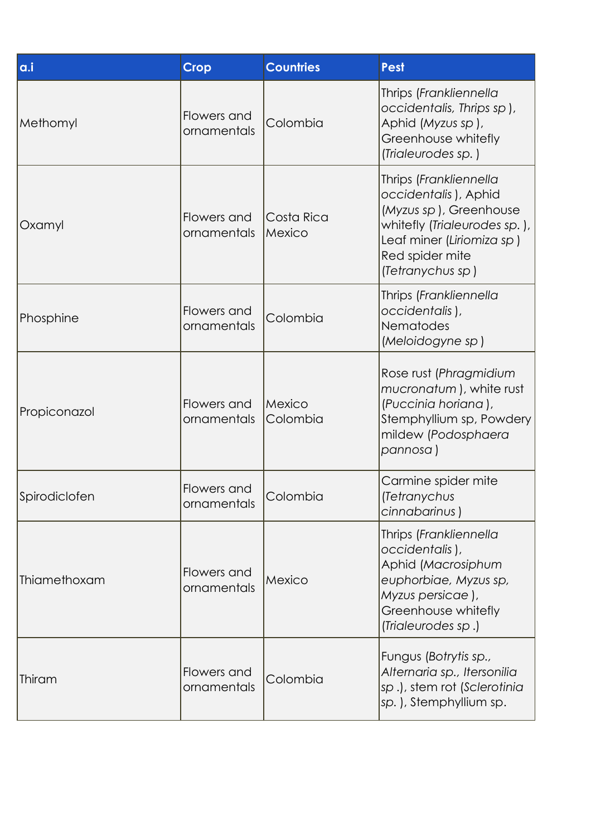| a.i           | <b>Crop</b>                | <b>Countries</b>     | <b>Pest</b>                                                                                                                                                                  |
|---------------|----------------------------|----------------------|------------------------------------------------------------------------------------------------------------------------------------------------------------------------------|
| Methomyl      | Flowers and<br>ornamentals | Colombia             | Thrips (Frankliennella<br>occidentalis, Thrips sp),<br>Aphid (Myzus sp),<br>Greenhouse whitefly<br>(Trialeurodes sp.)                                                        |
| Oxamyl        | Flowers and<br>ornamentals | Costa Rica<br>Mexico | Thrips (Frankliennella<br>occidentalis), Aphid<br>(Myzus sp), Greenhouse<br>whitefly (Trialeurodes sp.),<br>Leaf miner (Liriomiza sp)<br>Red spider mite<br>(Tetranychus sp) |
| Phosphine     | Flowers and<br>ornamentals | Colombia             | Thrips (Frankliennella<br>occidentalis),<br>Nematodes<br>(Meloidogyne sp)                                                                                                    |
| Propiconazol  | Flowers and<br>ornamentals | Mexico<br>Colombia   | Rose rust (Phragmidium<br>mucronatum), white rust<br>(Puccinia horiana),<br>Stemphyllium sp, Powdery<br>mildew (Podosphaera<br>pannosa )                                     |
| Spirodiclofen | Flowers and<br>ornamentals | Colombia             | Carmine spider mite<br>(Tetranychus<br>cinnabarinus)                                                                                                                         |
| Thiamethoxam  | Flowers and<br>ornamentals | Mexico               | Thrips (Frankliennella<br>occidentalis),<br>Aphid (Macrosiphum<br>euphorbiae, Myzus sp,<br>Myzus persicae),<br>Greenhouse whitefly<br>(Trialeurodes sp.)                     |
| Thiram        | Flowers and<br>ornamentals | Colombia             | Fungus (Botrytis sp.,<br>Alternaria sp., Itersonilia<br>sp.), stem rot (Sclerotinia<br>sp.), Stemphyllium sp.                                                                |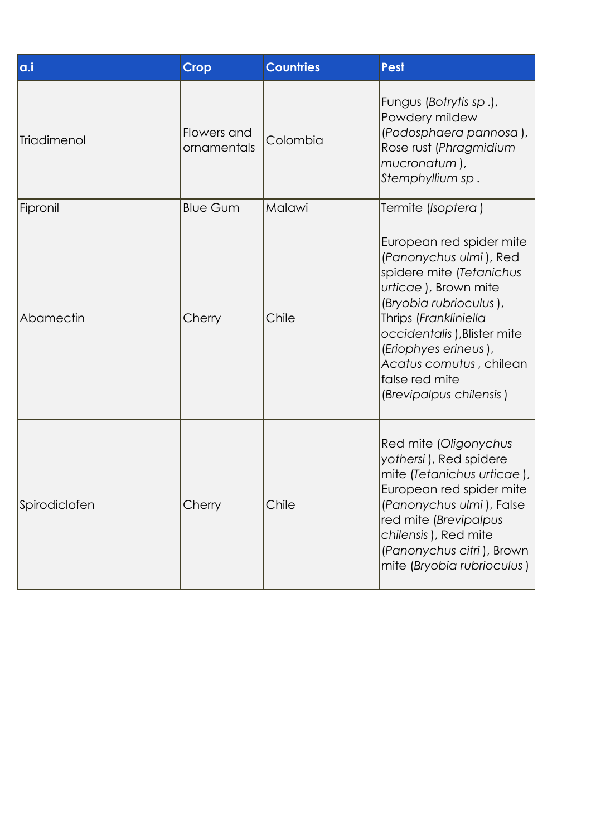| a.i           | <b>Crop</b>                | <b>Countries</b> | <b>Pest</b>                                                                                                                                                                                                                                                                              |
|---------------|----------------------------|------------------|------------------------------------------------------------------------------------------------------------------------------------------------------------------------------------------------------------------------------------------------------------------------------------------|
| Triadimenol   | Flowers and<br>ornamentals | Colombia         | Fungus (Botrytis sp.),<br>Powdery mildew<br>(Podosphaera pannosa),<br>Rose rust (Phragmidium<br>mucronatum),<br>Stemphyllium sp.                                                                                                                                                         |
| Fipronil      | <b>Blue Gum</b>            | Malawi           | Termite (Isoptera)                                                                                                                                                                                                                                                                       |
| Abamectin     | Cherry                     | Chile            | European red spider mite<br>(Panonychus ulmi), Red<br>spidere mite (Tetanichus<br>urticae), Brown mite<br>(Bryobia rubrioculus),<br>Thrips (Frankliniella<br>occidentalis), Blister mite<br>(Eriophyes erineus),<br>Acatus comutus, chilean<br>false red mite<br>(Brevipalpus chilensis) |
| Spirodiclofen | Cherry                     | Chile            | Red mite (Oligonychus<br>yothersi), Red spidere<br>mite (Tetanichus urticae),<br>European red spider mite<br>(Panonychus ulmi), False<br>red mite (Brevipalpus<br>chilensis), Red mite<br>(Panonychus citri), Brown<br>mite (Bryobia rubrioculus)                                        |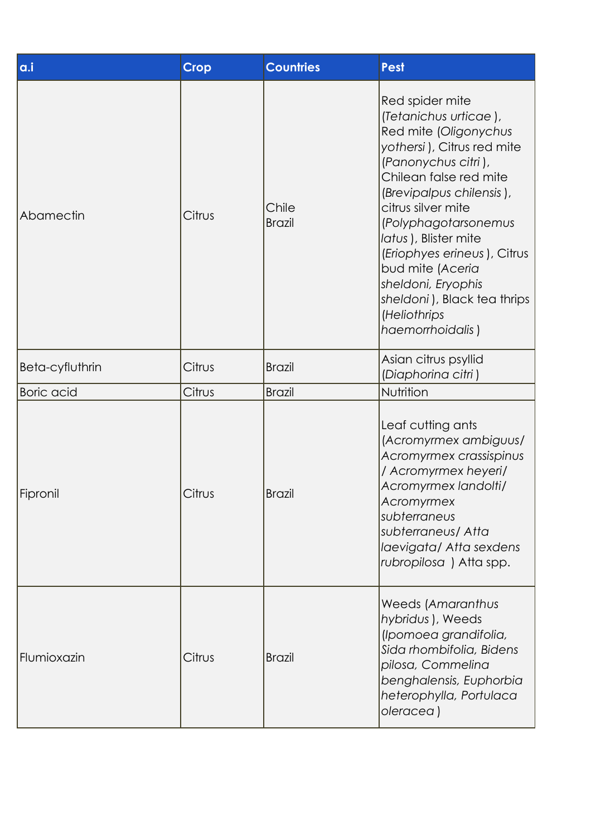| a.i               | <b>Crop</b> | <b>Countries</b>       | <b>Pest</b>                                                                                                                                                                                                                                                                                                                                                                                    |
|-------------------|-------------|------------------------|------------------------------------------------------------------------------------------------------------------------------------------------------------------------------------------------------------------------------------------------------------------------------------------------------------------------------------------------------------------------------------------------|
| Abamectin         | Citrus      | Chile<br><b>Brazil</b> | Red spider mite<br>(Tetanichus urticae),<br>Red mite (Oligonychus<br>yothersi), Citrus red mite<br>(Panonychus citri),<br>Chilean false red mite<br>(Brevipalpus chilensis),<br>citrus silver mite<br>(Polyphagotarsonemus<br>latus), Blister mite<br>(Eriophyes erineus), Citrus<br>bud mite (Aceria<br>sheldoni, Eryophis<br>sheldoni), Black tea thrips<br>(Heliothrips<br>haemorrhoidalis) |
| Beta-cyfluthrin   | Citrus      | <b>Brazil</b>          | Asian citrus psyllid<br>(Diaphorina citri)                                                                                                                                                                                                                                                                                                                                                     |
| <b>Boric</b> acid | Citrus      | <b>Brazil</b>          | Nutrition                                                                                                                                                                                                                                                                                                                                                                                      |
| Fipronil          | Citrus      | <b>Brazil</b>          | Leaf cutting ants<br>(Acromyrmex ambiguus/<br>Acromyrmex crassispinus<br>/ Acromyrmex heyeri/<br>Acromyrmex landolti/<br>Acromyrmex<br>subterraneus<br>subterraneus/ Atta<br>laevigata/ Atta sexdens<br>rubropilosa) Atta spp.                                                                                                                                                                 |
| Flumioxazin       | Citrus      | <b>Brazil</b>          | Weeds (Amaranthus<br>hybridus), Weeds<br>(Ipomoea grandifolia,<br>Sida rhombifolia, Bidens<br>pilosa, Commelina<br>benghalensis, Euphorbia<br>heterophylla, Portulaca<br>oleracea)                                                                                                                                                                                                             |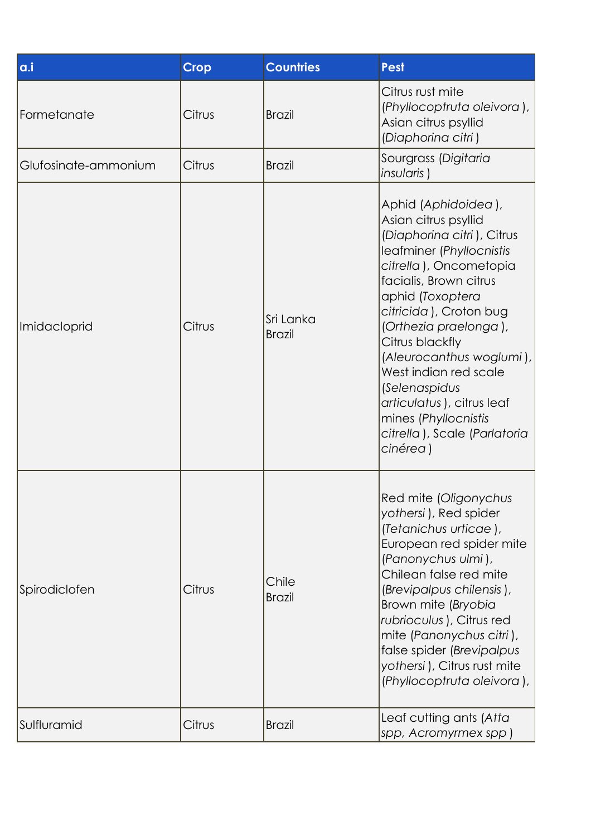| a.i                  | <b>Crop</b> | <b>Countries</b>           | <b>Pest</b>                                                                                                                                                                                                                                                                                                                                                                                                                |
|----------------------|-------------|----------------------------|----------------------------------------------------------------------------------------------------------------------------------------------------------------------------------------------------------------------------------------------------------------------------------------------------------------------------------------------------------------------------------------------------------------------------|
| Formetanate          | Citrus      | <b>Brazil</b>              | Citrus rust mite<br>(Phyllocoptruta oleivora),<br>Asian citrus psyllid<br>(Diaphorina citri)                                                                                                                                                                                                                                                                                                                               |
| Glufosinate-ammonium | Citrus      | <b>Brazil</b>              | Sourgrass (Digitaria<br>insularis)                                                                                                                                                                                                                                                                                                                                                                                         |
| Imidacloprid         | Citrus      | Sri Lanka<br><b>Brazil</b> | Aphid (Aphidoidea),<br>Asian citrus psyllid<br>(Diaphorina citri), Citrus<br>leafminer (Phyllocnistis<br>citrella), Oncometopia<br>facialis, Brown citrus<br>aphid (Toxoptera<br>citricida), Croton bug<br>(Orthezia praelonga),<br>Citrus blackfly<br>(Aleurocanthus woglumi),<br>West indian red scale<br>(Selenaspidus<br>articulatus), citrus leaf<br>mines (Phyllocnistis<br>citrella), Scale (Parlatoria<br>cinérea) |
| Spirodiclofen        | Citrus      | Chile<br><b>Brazil</b>     | Red mite (Oligonychus<br>yothersi), Red spider<br>(Tetanichus urticae),<br>European red spider mite<br>(Panonychus ulmi),<br>Chilean false red mite<br>(Brevipalpus chilensis),<br>Brown mite (Bryobia<br>rubrioculus), Citrus red<br>mite (Panonychus citri),<br>false spider (Brevipalpus<br>yothersi), Citrus rust mite<br>(Phyllocoptruta oleivora),                                                                   |
| Sulfluramid          | Citrus      | <b>Brazil</b>              | Leaf cutting ants (Atta<br>spp, Acromyrmex spp)                                                                                                                                                                                                                                                                                                                                                                            |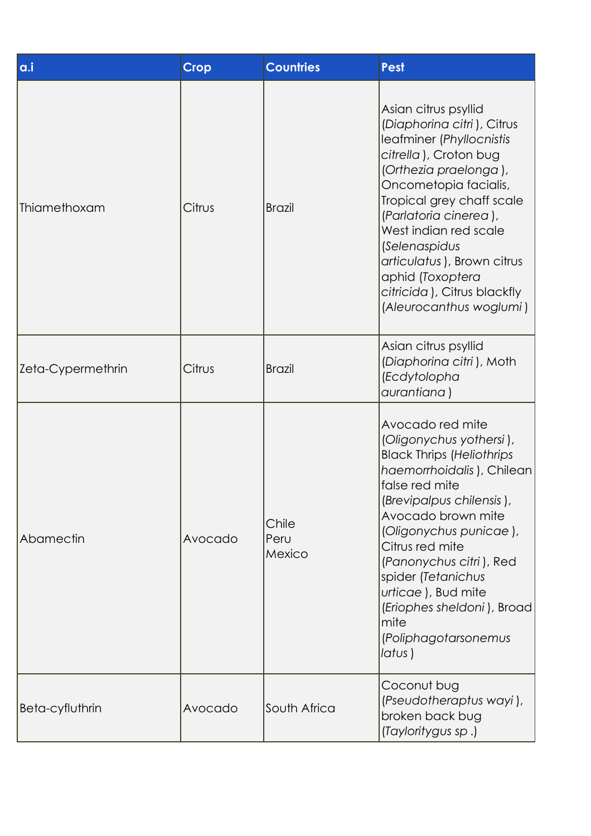| a.i               | <b>Crop</b> | <b>Countries</b>        | <b>Pest</b>                                                                                                                                                                                                                                                                                                                                                                  |
|-------------------|-------------|-------------------------|------------------------------------------------------------------------------------------------------------------------------------------------------------------------------------------------------------------------------------------------------------------------------------------------------------------------------------------------------------------------------|
| Thiamethoxam      | Citrus      | <b>Brazil</b>           | Asian citrus psyllid<br>(Diaphorina citri), Citrus<br>leafminer (Phyllocnistis<br>citrella), Croton bug<br>(Orthezia praelonga),<br>Oncometopia facialis,<br>Tropical grey chaff scale<br>(Parlatoria cinerea),<br>West indian red scale<br>(Selenaspidus<br>articulatus), Brown citrus<br>aphid (Toxoptera<br>citricida), Citrus blackfly<br>(Aleurocanthus woglumi)        |
| Zeta-Cypermethrin | Citrus      | <b>Brazil</b>           | Asian citrus psyllid<br>(Diaphorina citri), Moth<br>(Ecdytolopha<br>aurantiana)                                                                                                                                                                                                                                                                                              |
| Abamectin         | Avocado     | Chile<br>Peru<br>Mexico | Avocado red mite<br>(Oligonychus yothersi),<br><b>Black Thrips (Heliothrips</b><br>haemorrhoidalis), Chilean<br>false red mite<br>(Brevipalpus chilensis),<br>Avocado brown mite<br>(Oligonychus punicae),<br>Citrus red mite<br>(Panonychus citri), Red<br>spider (Tetanichus<br>urticae), Bud mite<br>(Eriophes sheldoni), Broad<br>mite<br>(Poliphagotarsonemus<br>latus) |
| Beta-cyfluthrin   | Avocado     | South Africa            | Coconut bug<br>(Pseudotheraptus wayi),<br>broken back bug<br>(Tayloritygus sp.)                                                                                                                                                                                                                                                                                              |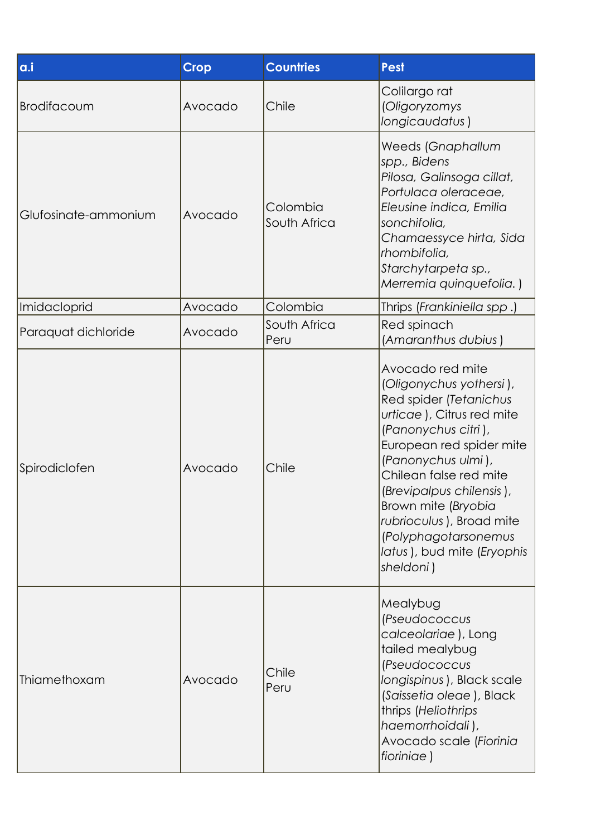| a.i                  | <b>Crop</b> | <b>Countries</b>         | <b>Pest</b>                                                                                                                                                                                                                                                                                                                                             |
|----------------------|-------------|--------------------------|---------------------------------------------------------------------------------------------------------------------------------------------------------------------------------------------------------------------------------------------------------------------------------------------------------------------------------------------------------|
| Brodifacoum          | Avocado     | Chile                    | Colilargo rat<br>(Oligoryzomys<br>longicaudatus)                                                                                                                                                                                                                                                                                                        |
| Glufosinate-ammonium | Avocado     | Colombia<br>South Africa | Weeds (Gnaphallum<br>spp., Bidens<br>Pilosa, Galinsoga cillat,<br>Portulaca oleraceae,<br>Eleusine indica, Emilia<br>sonchifolia,<br>Chamaessyce hirta, Sida<br>rhombifolia,<br>Starchytarpeta sp.,<br>Merremia quinquefolia.)                                                                                                                          |
| Imidacloprid         | Avocado     | Colombia                 | Thrips (Frankiniella spp.)                                                                                                                                                                                                                                                                                                                              |
| Paraquat dichloride  | Avocado     | South Africa<br>Peru     | Red spinach<br>(Amaranthus dubius)                                                                                                                                                                                                                                                                                                                      |
| Spirodiclofen        | Avocado     | Chile                    | Avocado red mite<br>(Oligonychus yothersi),<br>Red spider (Tetanichus<br>urticae), Citrus red mite<br>(Panonychus citri),<br>European red spider mite<br>(Panonychus ulmi),<br>Chilean false red mite<br>(Brevipalpus chilensis),<br>Brown mite (Bryobia<br>rubrioculus), Broad mite<br>(Polyphagotarsonemus<br>latus), bud mite (Eryophis<br>sheldoni) |
| Thiamethoxam         | Avocado     | Chile<br>Peru            | Mealybug<br>(Pseudococcus<br>calceolariae), Long<br>tailed mealybug<br><i>(Pseudococcus</i><br>longispinus), Black scale<br>(Saissetia oleae), Black<br>thrips (Heliothrips<br>haemorrhoidali),<br>Avocado scale (Fiorinia<br>fioriniae)                                                                                                                |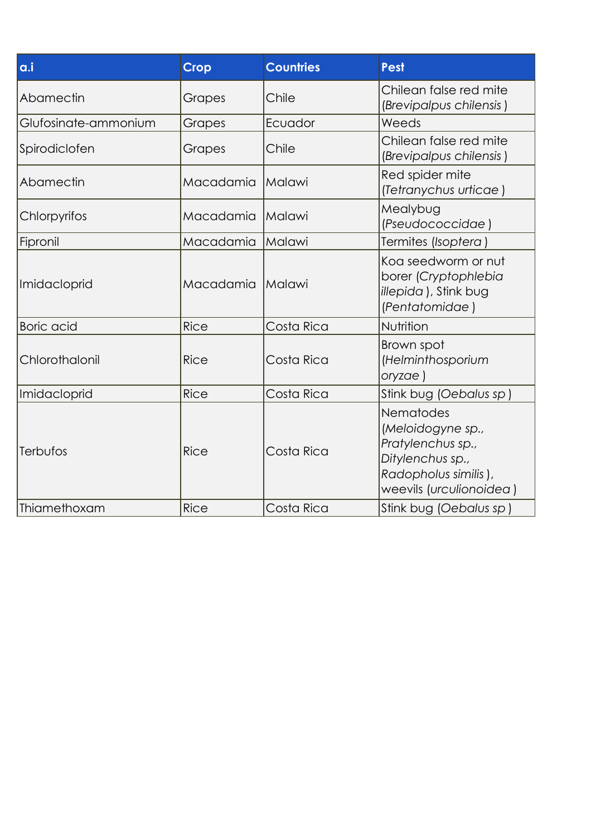| a.i                  | <b>Crop</b> | <b>Countries</b> | <b>Pest</b>                                                                                                                |
|----------------------|-------------|------------------|----------------------------------------------------------------------------------------------------------------------------|
| Abamectin            | Grapes      | Chile            | Chilean false red mite<br>(Brevipalpus chilensis)                                                                          |
| Glufosinate-ammonium | Grapes      | Ecuador          | Weeds                                                                                                                      |
| Spirodiclofen        | Grapes      | Chile            | Chilean false red mite<br>(Brevipalpus chilensis)                                                                          |
| Abamectin            | Macadamia   | Malawi           | Red spider mite<br>(Tetranychus urticae)                                                                                   |
| Chlorpyrifos         | Macadamia   | Malawi           | Mealybug<br>(Pseudococcidae)                                                                                               |
| Fipronil             | Macadamia   | Malawi           | Termites (Isoptera)                                                                                                        |
| Imidacloprid         | Macadamia   | Malawi           | Kog seedworm or nut<br>borer (Cryptophlebia<br>illepida), Stink bug<br>(Pentatomidae)                                      |
| <b>Boric</b> acid    | <b>Rice</b> | Costa Rica       | Nutrition                                                                                                                  |
| Chlorothalonil       | <b>Rice</b> | Costa Rica       | Brown spot<br>(Helminthosporium<br>oryzae )                                                                                |
| Imidacloprid         | <b>Rice</b> | Costa Rica       | Stink bug (Oebalus sp)                                                                                                     |
| Terbufos             | <b>Rice</b> | Costa Rica       | Nematodes<br>(Meloidogyne sp.,<br>Pratylenchus sp.,<br>Ditylenchus sp.,<br>Radopholus similis),<br>weevils (urculionoidea) |
| Thiamethoxam         | Rice        | Costa Rica       | Stink bug (Oebalus sp)                                                                                                     |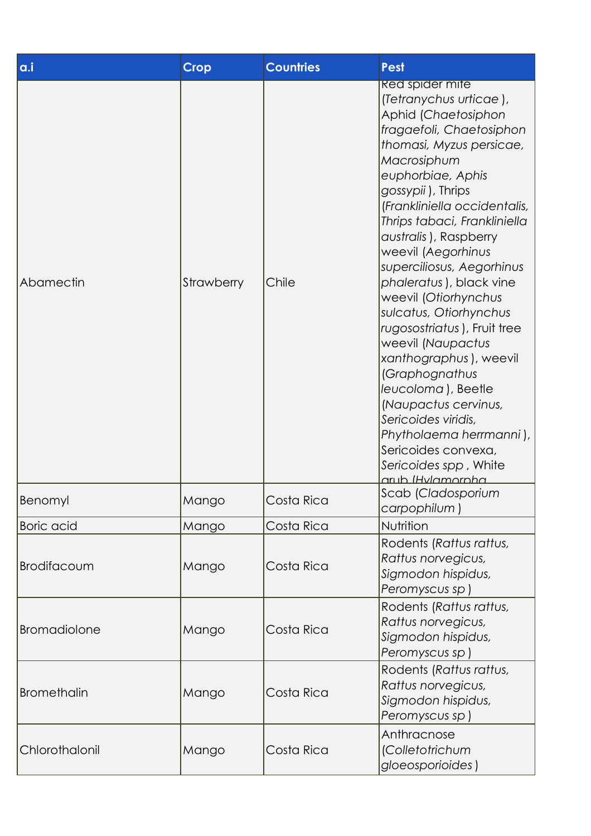| a.i                 | <b>Crop</b> | <b>Countries</b> | <b>Pest</b>                                                                                                                                                                                                                                                                                                                                                                                                                                                                                                                                                                                                                                                                           |
|---------------------|-------------|------------------|---------------------------------------------------------------------------------------------------------------------------------------------------------------------------------------------------------------------------------------------------------------------------------------------------------------------------------------------------------------------------------------------------------------------------------------------------------------------------------------------------------------------------------------------------------------------------------------------------------------------------------------------------------------------------------------|
| Abamectin           | Strawberry  | Chile            | <b>Red spider mite</b><br>(Tetranychus urticae),<br>Aphid (Chaetosiphon<br>fragaefoli, Chaetosiphon<br>thomasi, Myzus persicae,<br>Macrosiphum<br>euphorbiae, Aphis<br>gossypii), Thrips<br>(Frankliniella occidentalis,<br>Thrips tabaci, Frankliniella<br>australis), Raspberry<br>weevil (Aegorhinus<br>superciliosus, Aegorhinus<br>phaleratus), black vine<br>weevil (Otiorhynchus<br>sulcatus, Otiorhynchus<br>rugosostriatus), Fruit tree<br>weevil (Naupactus<br>xanthographus), weevil<br>(Graphognathus<br>leucoloma), Beetle<br>(Naupactus cervinus,<br>Sericoides viridis,<br>Phytholaema herrmanni),<br>Sericoides convexa,<br>Sericoides spp, White<br>aruh IHvlamornha |
| Benomyl             | Mango       | Costa Rica       | Scab (Cladosporium<br>carpophilum)                                                                                                                                                                                                                                                                                                                                                                                                                                                                                                                                                                                                                                                    |
| <b>Boric</b> acid   | Mango       | Costa Rica       | Nutrition                                                                                                                                                                                                                                                                                                                                                                                                                                                                                                                                                                                                                                                                             |
| Brodifacoum         | Mango       | Costa Rica       | Rodents (Rattus rattus,<br>Rattus norvegicus,<br>Sigmodon hispidus,<br>Peromyscus sp)                                                                                                                                                                                                                                                                                                                                                                                                                                                                                                                                                                                                 |
| <b>Bromadiolone</b> | Mango       | Costa Rica       | Rodents (Rattus rattus,<br>Rattus norvegicus,<br>Sigmodon hispidus,<br>Peromyscus sp)                                                                                                                                                                                                                                                                                                                                                                                                                                                                                                                                                                                                 |
| <b>Bromethalin</b>  | Mango       | Costa Rica       | Rodents (Rattus rattus,<br>Rattus norvegicus,<br>Sigmodon hispidus,<br>Peromyscus sp)                                                                                                                                                                                                                                                                                                                                                                                                                                                                                                                                                                                                 |
| Chlorothalonil      | Mango       | Costa Rica       | Anthracnose<br>(Colletotrichum<br>gloeosporioides)                                                                                                                                                                                                                                                                                                                                                                                                                                                                                                                                                                                                                                    |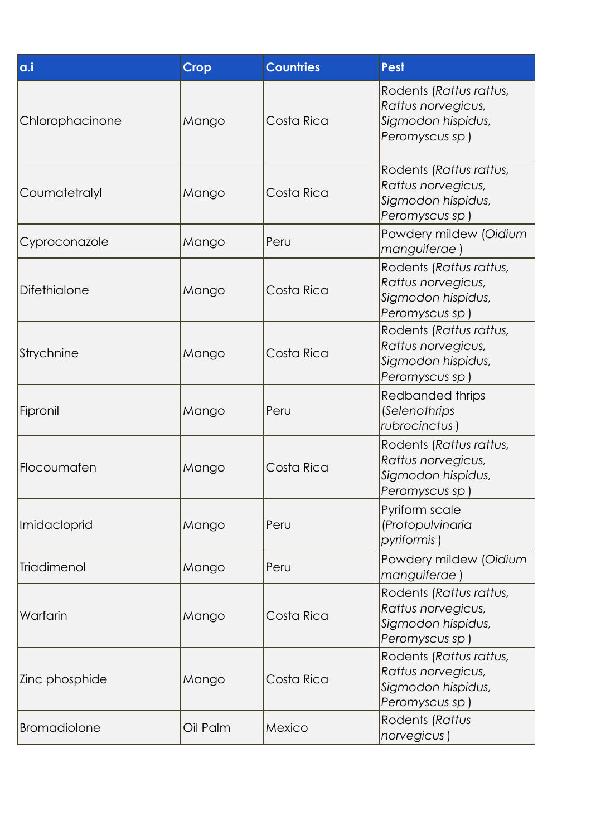| a.i                 | <b>Crop</b> | <b>Countries</b> | <b>Pest</b>                                                                           |
|---------------------|-------------|------------------|---------------------------------------------------------------------------------------|
| Chlorophacinone     | Mango       | Costa Rica       | Rodents (Rattus rattus,<br>Rattus norvegicus,<br>Sigmodon hispidus,<br>Peromyscus sp) |
| Coumatetralyl       | Mango       | Costa Rica       | Rodents (Rattus rattus,<br>Rattus norvegicus,<br>Sigmodon hispidus,<br>Peromyscus sp) |
| Cyproconazole       | Mango       | Peru             | Powdery mildew (Oidium<br>manguiferae)                                                |
| <b>Difethialone</b> | Mango       | Costa Rica       | Rodents (Rattus rattus,<br>Rattus norvegicus,<br>Sigmodon hispidus,<br>Peromyscus sp) |
| Strychnine          | Mango       | Costa Rica       | Rodents (Rattus rattus,<br>Rattus norvegicus,<br>Sigmodon hispidus,<br>Peromyscus sp) |
| Fipronil            | Mango       | Peru             | Redbanded thrips<br>(Selenothrips<br>rubrocinctus)                                    |
| Flocoumafen         | Mango       | Costa Rica       | Rodents (Rattus rattus,<br>Rattus norvegicus,<br>Sigmodon hispidus,<br>Peromyscus sp) |
| Imidacloprid        | Mango       | Peru             | Pyriform scale<br>(Protopulvinaria<br>pyriformis)                                     |
| Triadimenol         | Mango       | Peru             | Powdery mildew (Oidium<br>manguiferae)                                                |
| Warfarin            | Mango       | Costa Rica       | Rodents (Rattus rattus,<br>Rattus norvegicus,<br>Sigmodon hispidus,<br>Peromyscus sp) |
| Zinc phosphide      | Mango       | Costa Rica       | Rodents (Rattus rattus,<br>Rattus norvegicus,<br>Sigmodon hispidus,<br>Peromyscus sp) |
| <b>Bromadiolone</b> | Oil Palm    | Mexico           | Rodents (Rattus<br>norvegicus)                                                        |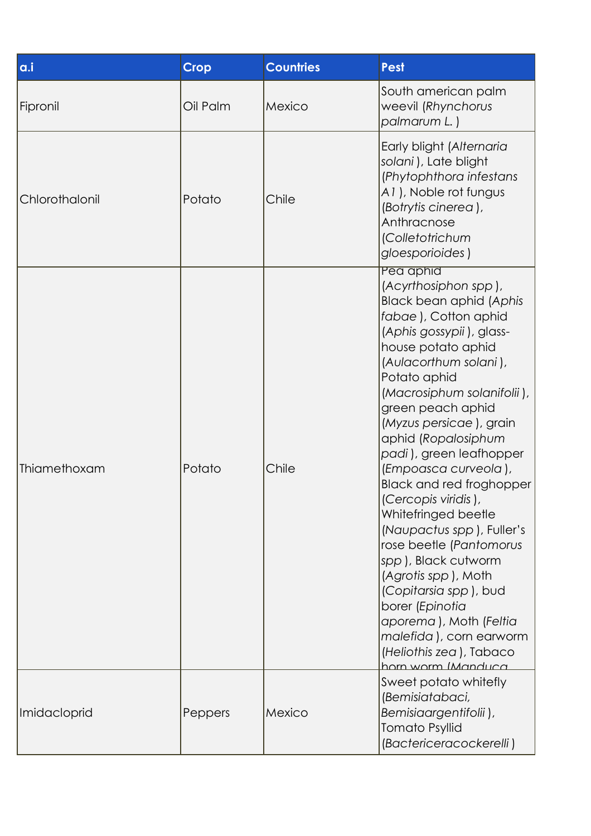| a.i            | <b>Crop</b> | <b>Countries</b> | <b>Pest</b>                                                                                                                                                                                                                                                                                                                                                                                                                                                                                                                                                                                                                                                                             |
|----------------|-------------|------------------|-----------------------------------------------------------------------------------------------------------------------------------------------------------------------------------------------------------------------------------------------------------------------------------------------------------------------------------------------------------------------------------------------------------------------------------------------------------------------------------------------------------------------------------------------------------------------------------------------------------------------------------------------------------------------------------------|
| Fipronil       | Oil Palm    | Mexico           | South american palm<br>weevil (Rhynchorus<br>palmarum L.)                                                                                                                                                                                                                                                                                                                                                                                                                                                                                                                                                                                                                               |
| Chlorothalonil | Potato      | Chile            | Early blight (Alternaria<br>solani), Late blight<br>(Phytophthora infestans<br>A1), Noble rot fungus<br>(Botrytis cinerea),<br>Anthracnose<br>(Colletotrichum<br>gloesporioides)                                                                                                                                                                                                                                                                                                                                                                                                                                                                                                        |
| Thiamethoxam   | Potato      | Chile            | Pea aphia<br>(Acyrthosiphon spp),<br><b>Black bean aphid (Aphis</b><br>fabae), Cotton aphid<br>(Aphis gossypii), glass-<br>house potato aphid<br>(Aulacorthum solani),<br>Potato aphid<br>(Macrosiphum solanifolii),<br>green peach aphid<br>(Myzus persicae), grain<br>aphid (Ropalosiphum<br>padi), green leafhopper<br>(Empoasca curveola),<br><b>Black and red froghopper</b><br>(Cercopis viridis),<br>Whitefringed beetle<br>(Naupactus spp), Fuller's<br>rose beetle (Pantomorus<br>spp), Black cutworm<br>(Agrotis spp), Moth<br>(Copitarsia spp), bud<br>borer (Epinotia<br>aporema), Moth (Feltia<br>malefida), corn earworm<br>(Heliothis zea), Tabaco<br>horn worm IManduca |
| Imidacloprid   | Peppers     | Mexico           | Sweet potato whitefly<br>(Bemisiatabaci,<br>Bemisiaargentifolii),<br><b>Tomato Psyllid</b><br>(Bactericeracockerelli)                                                                                                                                                                                                                                                                                                                                                                                                                                                                                                                                                                   |